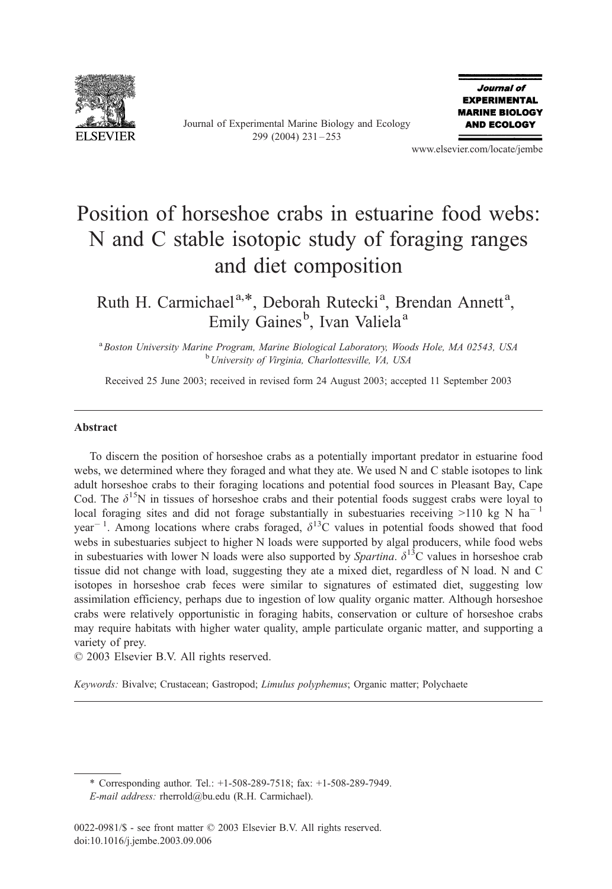

Journal of Experimental Marine Biology and Ecology 299 (2004) 231 – 253



www.elsevier.com/locate/jembe

# Position of horseshoe crabs in estuarine food webs: N and C stable isotopic study of foraging ranges and diet composition

Ruth H. Carmichael<sup>a,\*</sup>, Deborah Rutecki<sup>a</sup>, Brendan Annett<sup>a</sup>, Emily Gaines<sup>b</sup>, Ivan Valiela<sup>a</sup>

<sup>a</sup> Boston University Marine Program, Marine Biological Laboratory, Woods Hole, MA 02543, USA<br><sup>b</sup> University of Virginia, Charlottesville, VA 1154 <sup>b</sup> University of Virginia, Charlottesville, VA, USA

Received 25 June 2003; received in revised form 24 August 2003; accepted 11 September 2003

## Abstract

To discern the position of horseshoe crabs as a potentially important predator in estuarine food webs, we determined where they foraged and what they ate. We used N and C stable isotopes to link adult horseshoe crabs to their foraging locations and potential food sources in Pleasant Bay, Cape Cod. The  $\delta^{15}$ N in tissues of horseshoe crabs and their potential foods suggest crabs were loyal to local foraging sites and did not forage substantially in subestuaries receiving  $>110$  kg N ha<sup>-1</sup> year<sup>-1</sup>. Among locations where crabs foraged,  $\delta^{13}$ C values in potential foods showed that food webs in subestuaries subject to higher N loads were supported by algal producers, while food webs in subestuaries with lower N loads were also supported by *Spartina*.  $\delta^{13}$ C values in horseshoe crab tissue did not change with load, suggesting they ate a mixed diet, regardless of N load. N and C isotopes in horseshoe crab feces were similar to signatures of estimated diet, suggesting low assimilation efficiency, perhaps due to ingestion of low quality organic matter. Although horseshoe crabs were relatively opportunistic in foraging habits, conservation or culture of horseshoe crabs may require habitats with higher water quality, ample particulate organic matter, and supporting a variety of prey.

 $\odot$  2003 Elsevier B.V. All rights reserved.

Keywords: Bivalve; Crustacean; Gastropod; Limulus polyphemus; Organic matter; Polychaete

\* Corresponding author. Tel.: +1-508-289-7518; fax: +1-508-289-7949. E-mail address: rherrold@bu.edu (R.H. Carmichael).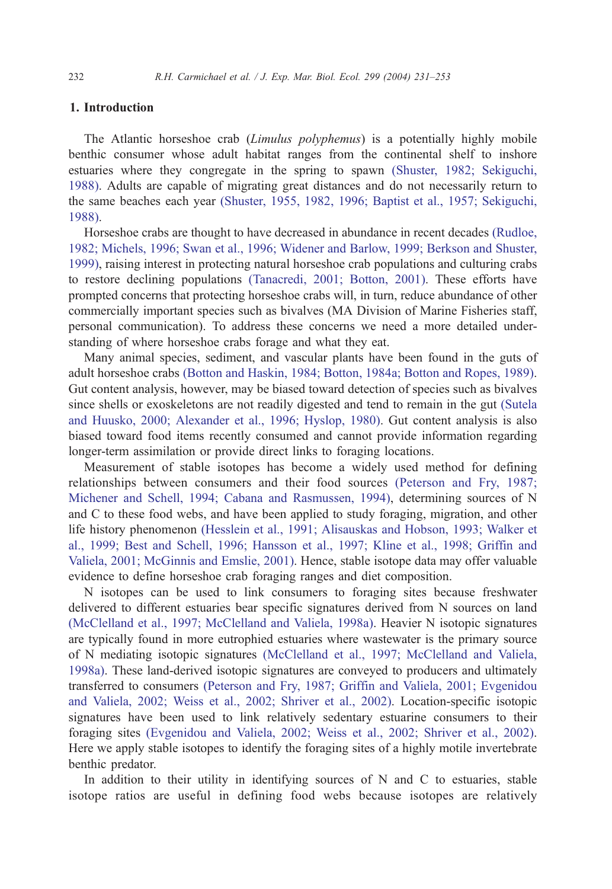# 1. Introduction

The Atlantic horseshoe crab (Limulus polyphemus) is a potentially highly mobile benthic consumer whose adult habitat ranges from the continental shelf to inshore estuaries where they congregate in the spring to spawn [\(Shuster, 1982; Sekiguchi,](#page-21-0) 1988). Adults are capable of migrating great distances and do not necessarily return to the same beaches each year [\(Shuster, 1955, 1982, 1996; Baptist et al., 1957; Sekiguchi,](#page-21-0) 1988).

Horseshoe crabs are thought to have decreased in abundance in recent decades [\(Rudloe,](#page-21-0) 1982; Michels, 1996; Swan et al., 1996; Widener and Barlow, 1999; Berkson and Shuster, 1999), raising interest in protecting natural horseshoe crab populations and culturing crabs to restore declining populations [\(Tanacredi, 2001; Botton, 2001\).](#page-22-0) These efforts have prompted concerns that protecting horseshoe crabs will, in turn, reduce abundance of other commercially important species such as bivalves (MA Division of Marine Fisheries staff, personal communication). To address these concerns we need a more detailed understanding of where horseshoe crabs forage and what they eat.

Many animal species, sediment, and vascular plants have been found in the guts of adult horseshoe crabs [\(Botton and Haskin, 1984; Botton, 1984a; Botton and Ropes, 1989\).](#page-19-0) Gut content analysis, however, may be biased toward detection of species such as bivalves since shells or exoskeletons are not readily digested and tend to remain in the gut [\(Sutela](#page-21-0) and Huusko, 2000; Alexander et al., 1996; Hyslop, 1980). Gut content analysis is also biased toward food items recently consumed and cannot provide information regarding longer-term assimilation or provide direct links to foraging locations.

Measurement of stable isotopes has become a widely used method for defining relationships between consumers and their food sources [\(Peterson and Fry, 1987;](#page-21-0) Michener and Schell, 1994; Cabana and Rasmussen, 1994), determining sources of N and C to these food webs, and have been applied to study foraging, migration, and other life history phenomenon [\(Hesslein et al., 1991; Alisauskas and Hobson, 1993; Walker et](#page-20-0) al., 1999; Best and Schell, 1996; Hansson et al., 1997; Kline et al., 1998; Griffin and Valiela, 2001; McGinnis and Emslie, 2001). Hence, stable isotope data may offer valuable evidence to define horseshoe crab foraging ranges and diet composition.

N isotopes can be used to link consumers to foraging sites because freshwater delivered to different estuaries bear specific signatures derived from N sources on land [\(McClelland et al., 1997; McClelland and Valiela, 1998a\).](#page-20-0) Heavier N isotopic signatures are typically found in more eutrophied estuaries where wastewater is the primary source of N mediating isotopic signatures [\(McClelland et al., 1997; McClelland and Valiela,](#page-20-0) 1998a). These land-derived isotopic signatures are conveyed to producers and ultimately transferred to consumers [\(Peterson and Fry, 1987; Griffin and Valiela, 2001; Evgenidou](#page-21-0) and Valiela, 2002; Weiss et al., 2002; Shriver et al., 2002). Location-specific isotopic signatures have been used to link relatively sedentary estuarine consumers to their foraging sites [\(Evgenidou and Valiela, 2002; Weiss et al., 2002; Shriver et al., 2002\).](#page-20-0) Here we apply stable isotopes to identify the foraging sites of a highly motile invertebrate benthic predator.

In addition to their utility in identifying sources of N and C to estuaries, stable isotope ratios are useful in defining food webs because isotopes are relatively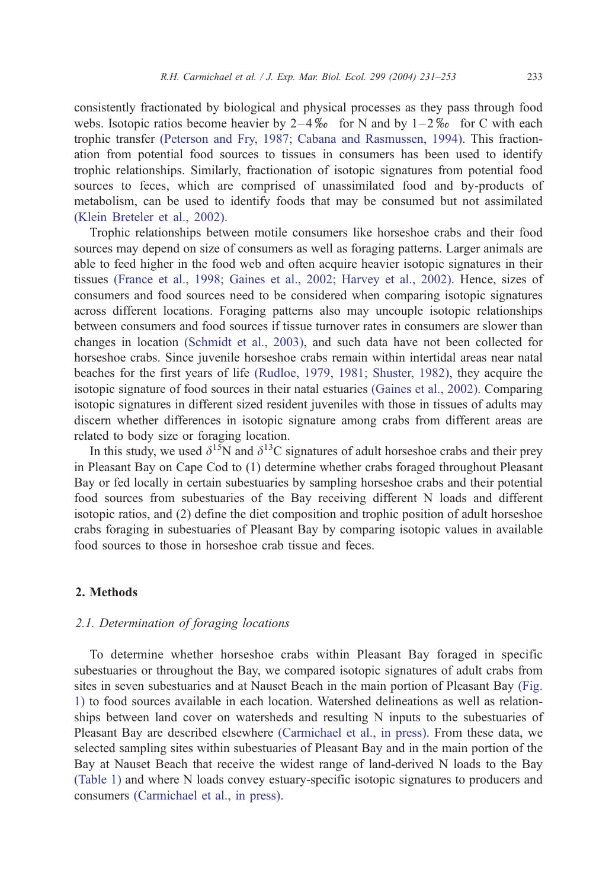consistently fractionated by biological and physical processes as they pass through food webs. Isotopic ratios become heavier by  $2-4\%$  for N and by  $1-2\%$  for C with each trophic transfer [\(Peterson and Fry, 1987; Cabana and Rasmussen, 1994\).](#page-21-0) This fractionation from potential food sources to tissues in consumers has been used to identify trophic relationships. Similarly, fractionation of isotopic signatures from potential food sources to feces, which are comprised of unassimilated food and by-products of metabolism, can be used to identify foods that may be consumed but not assimilated [\(Klein Breteler et al., 2002\).](#page-20-0)

Trophic relationships between motile consumers like horseshoe crabs and their food sources may depend on size of consumers as well as foraging patterns. Larger animals are able to feed higher in the food web and often acquire heavier isotopic signatures in their tissues [\(France et al., 1998; Gaines et al., 2002; Harvey et al., 2002\).](#page-20-0) Hence, sizes of consumers and food sources need to be considered when comparing isotopic signatures across different locations. Foraging patterns also may uncouple isotopic relationships between consumers and food sources if tissue turnover rates in consumers are slower than changes in location [\(Schmidt et al., 2003\),](#page-21-0) and such data have not been collected for horseshoe crabs. Since juvenile horseshoe crabs remain within intertidal areas near natal beaches for the first years of life [\(Rudloe, 1979, 1981; Shuster, 1982\),](#page-21-0) they acquire the isotopic signature of food sources in their natal estuaries [\(Gaines et al., 2002\).](#page-20-0) Comparing isotopic signatures in different sized resident juveniles with those in tissues of adults may discern whether differences in isotopic signature among crabs from different areas are related to body size or foraging location.

In this study, we used  $\delta^{15}N$  and  $\delta^{13}C$  signatures of adult horseshoe crabs and their prey in Pleasant Bay on Cape Cod to (1) determine whether crabs foraged throughout Pleasant Bay or fed locally in certain subestuaries by sampling horseshoe crabs and their potential food sources from subestuaries of the Bay receiving different N loads and different isotopic ratios, and (2) define the diet composition and trophic position of adult horseshoe crabs foraging in subestuaries of Pleasant Bay by comparing isotopic values in available food sources to those in horseshoe crab tissue and feces.

## 2. Methods

### 2.1. Determination of foraging locations

To determine whether horseshoe crabs within Pleasant Bay foraged in specific subestuaries or throughout the Bay, we compared isotopic signatures of adult crabs from sites in seven subestuaries and at Nauset Beach in the main portion of Pleasant Bay [\(Fig.](#page-3-0) 1) to food sources available in each location. Watershed delineations as well as relationships between land cover on watersheds and resulting N inputs to the subestuaries of Pleasant Bay are described elsewhere [\(Carmichael et al., in press\).](#page-19-0) From these data, we selected sampling sites within subestuaries of Pleasant Bay and in the main portion of the Bay at Nauset Beach that receive the widest range of land-derived N loads to the Bay [\(Table 1\)](#page-4-0) and where N loads convey estuary-specific isotopic signatures to producers and consumers [\(Carmichael et al., in press\).](#page-19-0)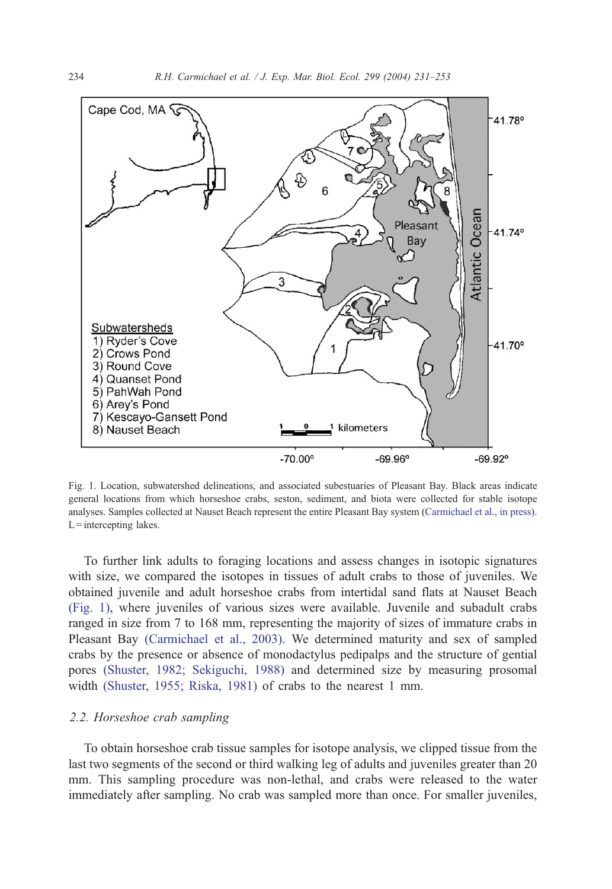<span id="page-3-0"></span>

Fig. 1. Location, subwatershed delineations, and associated subestuaries of Pleasant Bay. Black areas indicate general locations from which horseshoe crabs, seston, sediment, and biota were collected for stable isotope analyses. Samples collected at Nauset Beach represent the entire Pleasant Bay system ([Carmichael et al., in press\)](#page-19-0).  $L =$ intercepting lakes.

To further link adults to foraging locations and assess changes in isotopic signatures with size, we compared the isotopes in tissues of adult crabs to those of juveniles. We obtained juvenile and adult horseshoe crabs from intertidal sand flats at Nauset Beach (Fig. 1), where juveniles of various sizes were available. Juvenile and subadult crabs ranged in size from 7 to 168 mm, representing the majority of sizes of immature crabs in Pleasant Bay [\(Carmichael et al., 2003\).](#page-19-0) We determined maturity and sex of sampled crabs by the presence or absence of monodactylus pedipalps and the structure of gential pores [\(Shuster, 1982; Sekiguchi, 1988\)](#page-21-0) and determined size by measuring prosomal width [\(Shuster, 1955; Riska, 1981\)](#page-21-0) of crabs to the nearest 1 mm.

#### 2.2. Horseshoe crab sampling

To obtain horseshoe crab tissue samples for isotope analysis, we clipped tissue from the last two segments of the second or third walking leg of adults and juveniles greater than 20 mm. This sampling procedure was non-lethal, and crabs were released to the water immediately after sampling. No crab was sampled more than once. For smaller juveniles,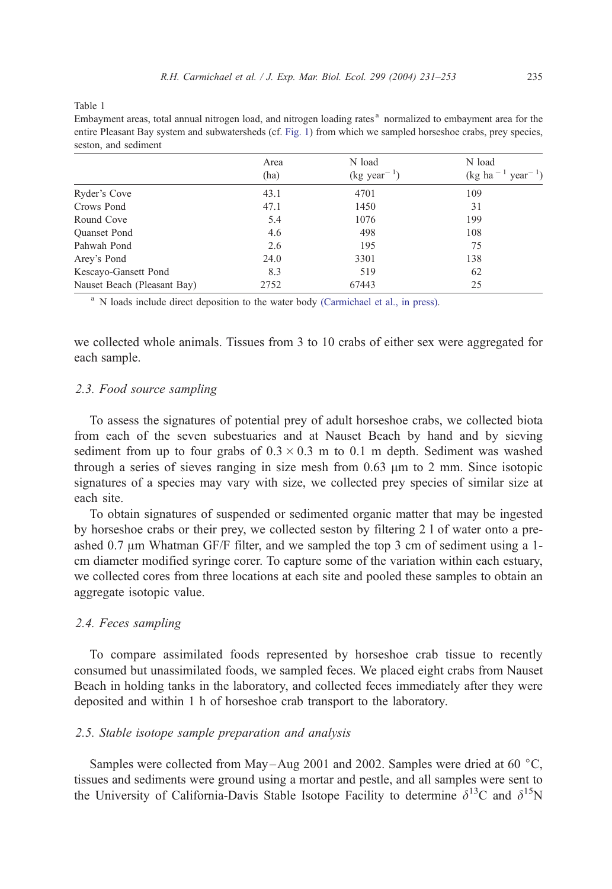<span id="page-4-0"></span>Table 1

| seston, and sediment        |              |                                   |                                                           |  |  |  |  |  |
|-----------------------------|--------------|-----------------------------------|-----------------------------------------------------------|--|--|--|--|--|
|                             | Area<br>(ha) | N load<br>$(\text{kg year}^{-1})$ | N load<br>$(\text{kg} \text{ ha}^{-1} \text{ year}^{-1})$ |  |  |  |  |  |
| Ryder's Cove                | 43.1         | 4701                              | 109                                                       |  |  |  |  |  |
| Crows Pond                  | 47.1         | 1450                              | 31                                                        |  |  |  |  |  |
| Round Cove                  | 5.4          | 1076                              | 199                                                       |  |  |  |  |  |
| <b>Ouanset Pond</b>         | 4.6          | 498                               | 108                                                       |  |  |  |  |  |
| Pahwah Pond                 | 2.6          | 195                               | 75                                                        |  |  |  |  |  |
| Arey's Pond                 | 24.0         | 3301                              | 138                                                       |  |  |  |  |  |
| Kescayo-Gansett Pond        | 8.3          | 519                               | 62                                                        |  |  |  |  |  |
| Nauset Beach (Pleasant Bay) | 2752         | 67443                             | 25                                                        |  |  |  |  |  |

Embayment areas, total annual nitrogen load, and nitrogen loading rates <sup>a</sup> normalized to embayment area for the entire Pleasant Bay system and subwatersheds (cf. [Fig. 1\) from which we sampled horseshoe crabs, prey species,](#page-3-0) seston, and sediment

<sup>a</sup> [N loads include direct deposition to the water body](#page-19-0) (Carmichael et al., in press).

we collected whole animals. Tissues from 3 to 10 crabs of either sex were aggregated for each sample.

## 2.3. Food source sampling

To assess the signatures of potential prey of adult horseshoe crabs, we collected biota from each of the seven subestuaries and at Nauset Beach by hand and by sieving sediment from up to four grabs of  $0.3 \times 0.3$  m to 0.1 m depth. Sediment was washed through a series of sieves ranging in size mesh from  $0.63 \mu m$  to 2 mm. Since isotopic signatures of a species may vary with size, we collected prey species of similar size at each site.

To obtain signatures of suspended or sedimented organic matter that may be ingested by horseshoe crabs or their prey, we collected seston by filtering 2 l of water onto a preashed 0.7  $\mu$ m Whatman GF/F filter, and we sampled the top 3 cm of sediment using a 1cm diameter modified syringe corer. To capture some of the variation within each estuary, we collected cores from three locations at each site and pooled these samples to obtain an aggregate isotopic value.

## 2.4. Feces sampling

To compare assimilated foods represented by horseshoe crab tissue to recently consumed but unassimilated foods, we sampled feces. We placed eight crabs from Nauset Beach in holding tanks in the laboratory, and collected feces immediately after they were deposited and within 1 h of horseshoe crab transport to the laboratory.

## 2.5. Stable isotope sample preparation and analysis

Samples were collected from May-Aug 2001 and 2002. Samples were dried at 60  $^{\circ}$ C, tissues and sediments were ground using a mortar and pestle, and all samples were sent to the University of California-Davis Stable Isotope Facility to determine  $\delta^{13}$ C and  $\delta^{15}$ N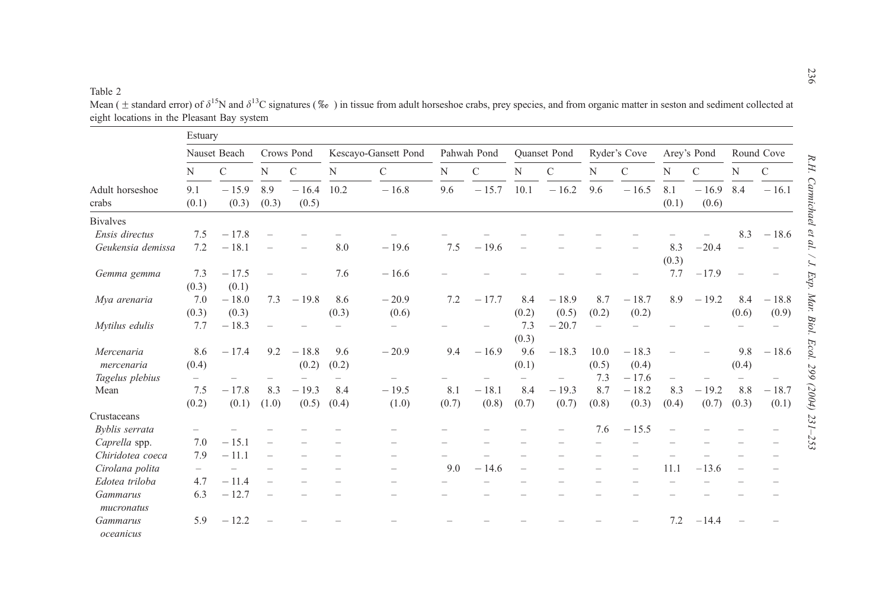#### <span id="page-5-0"></span>Table 2

Estuary Nauset Beach Crows Pond Kescayo-Gansett Pond Pahwah Pond Quanset Pond Ryder's Cove Arey's Pond Round Cove N C NC N C N C N C N C NC NCAdult horseshoecrabs9.1(0.1)  $-15.9$ (0.3) 8.9(0.3)  $-16.4$  10.2 (0.5)  $-16.8$  $9.6 \t-15.7 \t10.1 \t-16.2 \t9.6 \t-16.5 \t8.1$ (0.1)  $-16.9$  8.4  $-$ (0.6)  $-16.1$ BivalvesEnsis directus 7.5 $-17.8$  17.8 – – – – – – – – – – – – 8.3 18.6 Geukensia demissa $7.2 - 18.1$  18.1 – – 8.0 19.6 7.5 19.6 – – – – 8.3 (0.3) – 20.4 – –Gemma gemma 7.3 (0.3)  $-17.5$ (0.1) – 7.6 $-16.6$ – 16.6 – – – – – – – 7.7 – 17.9 – – Mya arenaria  $7.0$ (0.3)  $-18.0$ (0.3)  $7.3$   $-19.8$  8.6 (0.3)  $-20.9$ (0.6) 7.22  $-17.7$  8.4  $(0.2)$  $-18.9$ (0.5) 8.7(0.2)  $-18.7$  $(0.2)$ 8.9 $9 - 19.2 8.4$ (0.6)  $-18.8$ (0.9) Mytilus edulis 7.7 18.3 – – – – – – 7.3 (0.3) 20.7 – – – – – – Mercenariamercenaria8.6 $(0.4)$  $-17.4$  $9.2 - 18.8$  $(0.2)$ 9.6(0.2)  $-20.9$  $9.4$   $-16.9$   $9.6$ (0.1)  $-18.3$  10.0  $(0.5)$  $-18.3$  $(0.4)$  – 9.8 $(0.4)$  $-18.6$ Tagelus plebius – – – – – – – – – – 7.3 17.6 – – – – Mean 7.5 (0.2)  $-17.8$ (0.1) (1.0) 8.3 $-19.3$  $(0.5)$ 8.4(0.4)  $-19.5$ (1.0) 8.1(0.7)  $-18.1$ (0.8) 8.4(0.7)  $-19.3$ (0.7) 8.7(0.8)  $-18.2$ (0.3) 8.3(0.4)  $-19.2$ (0.7) 8.8 (0.3)  $-18.7$ (0.1) CrustaceansByblis serrata – – – – – – – – – – 7.6 15.5 – – – – Caprella spp. 7.0 15.1 – – – – – – – – – – – – – – Chiridotea coeca $7.9 - 11.1$  11.1 – – – – – – – – – – – – – – Cirolana polita – – – – – – 9.0 14.6 – – – – 11.1 – 13.6 – – Edotea triloba $4.7 - 11.4$  11.4 – – – – – – – – – – – – – – Gammarusmucronatus6.3 $-12.7$  12.7 – – – – – – – – – – – – – – Gammarusoceanicus5.9 $-12.2$ – 12.2 – – – – – – – – – – – – – 7.2 – 14.4 – –

Mean ( $\pm$  standard error) of  $\delta^{15}N$  and  $\delta^{13}C$  signatures (‰) in tissue from adult horseshoe crabs, prey species, and from organic matter in seston and sediment collected at eight locations in the Pleasant Bay system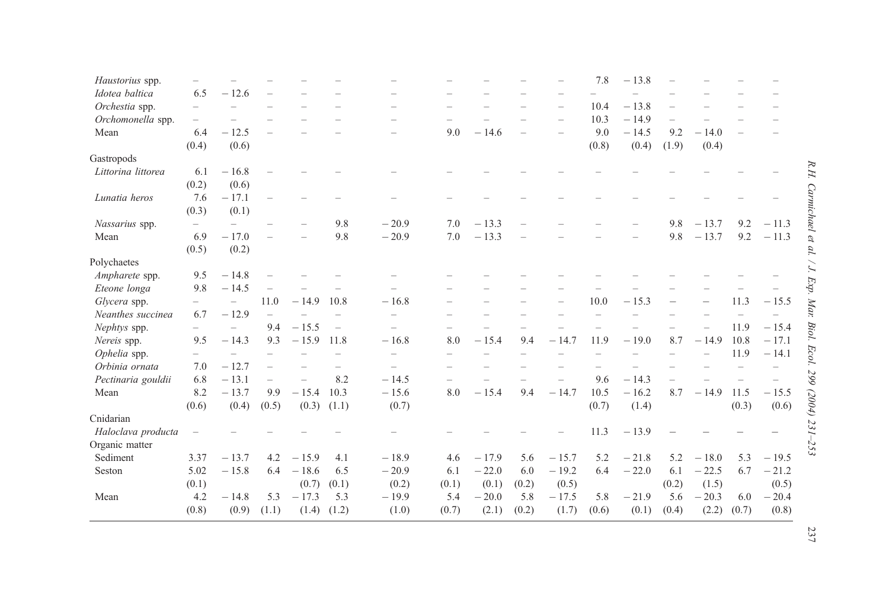| Haustorius spp.    |       |         |                          |         |                          |         |       |         |       |          | 7.8   | $-13.8$ |          |         |       |         |                |
|--------------------|-------|---------|--------------------------|---------|--------------------------|---------|-------|---------|-------|----------|-------|---------|----------|---------|-------|---------|----------------|
| Idotea baltica     | 6.5   | $-12.6$ |                          |         |                          |         |       |         |       |          |       |         |          |         |       |         |                |
| Orchestia spp.     |       |         |                          |         |                          |         |       |         |       |          | 10.4  | $-13.8$ |          |         |       |         |                |
| Orchomonella spp.  |       |         |                          |         |                          |         |       |         |       | $\equiv$ | 10.3  | $-14.9$ | $\equiv$ |         |       |         |                |
| Mean               | 6.4   | $-12.5$ |                          |         |                          |         | 9.0   | $-14.6$ |       |          | 9.0   | $-14.5$ | 9.2      | $-14.0$ |       |         |                |
|                    | (0.4) | (0.6)   |                          |         |                          |         |       |         |       |          | (0.8) | (0.4)   | (1.9)    | (0.4)   |       |         |                |
| Gastropods         |       |         |                          |         |                          |         |       |         |       |          |       |         |          |         |       |         |                |
| Littorina littorea | 6.1   | $-16.8$ |                          |         |                          |         |       |         |       |          |       |         |          |         |       |         | R.H.           |
|                    | (0.2) | (0.6)   |                          |         |                          |         |       |         |       |          |       |         |          |         |       |         |                |
| Lunatia heros      | 7.6   | $-17.1$ |                          |         |                          |         |       |         |       |          |       |         |          |         |       |         |                |
|                    | (0.3) | (0.1)   |                          |         |                          |         |       |         |       |          |       |         |          |         |       |         |                |
| Nassarius spp.     |       |         |                          |         | 9.8                      | $-20.9$ | 7.0   | $-13.3$ |       |          |       |         | 9.8      | $-13.7$ | 9.2   | $-11.3$ | Carmichael et  |
| Mean               | 6.9   | $-17.0$ |                          |         | 9.8                      | $-20.9$ | 7.0   | $-13.3$ |       |          |       |         | 9.8      | $-13.7$ | 9.2   | $-11.3$ |                |
|                    | (0.5) | (0.2)   |                          |         |                          |         |       |         |       |          |       |         |          |         |       |         | al.            |
| Polychaetes        |       |         |                          |         |                          |         |       |         |       |          |       |         |          |         |       |         | $\overline{C}$ |
| Ampharete spp.     | 9.5   | $-14.8$ |                          |         |                          |         |       |         |       |          |       |         |          |         |       |         |                |
| Eteone longa       | 9.8   | $-14.5$ |                          |         |                          |         |       |         |       |          |       |         |          |         |       |         |                |
| Glycera spp.       |       |         | 11.0                     | $-14.9$ | 10.8                     | $-16.8$ |       |         |       |          | 10.0  | $-15.3$ |          |         | 11.3  | $-15.5$ | Exp. Mar.      |
| Neanthes succinea  | 6.7   | $-12.9$ |                          |         |                          |         |       |         |       |          |       |         |          |         |       |         |                |
| Nephtys spp.       |       |         | 9.4                      | $-15.5$ | $\overline{\phantom{0}}$ |         |       |         |       |          |       |         |          |         | 11.9  | $-15.4$ | Biol.          |
| Nereis spp.        | 9.5   | $-14.3$ | 9.3                      | $-15.9$ | 11.8                     | $-16.8$ | 8.0   | $-15.4$ | 9.4   | $-14.7$  | 11.9  | $-19.0$ | 8.7      | $-14.9$ | 10.8  | $-17.1$ |                |
| Ophelia spp.       |       |         |                          |         |                          |         |       |         |       |          |       |         |          |         | 11.9  | $-14.1$ | Ecol           |
| Orbinia ornata     | 7.0   | $-12.7$ | $\overline{\phantom{0}}$ |         |                          |         |       |         |       |          |       |         |          |         |       |         |                |
| Pectinaria gouldii | 6.8   | $-13.1$ | $\overline{\phantom{0}}$ |         | 8.2                      | $-14.5$ |       |         |       |          | 9.6   | $-14.3$ |          |         |       |         | 299            |
| Mean               | 8.2   | $-13.7$ | 9.9                      | $-15.4$ | 10.3                     | $-15.6$ | 8.0   | $-15.4$ | 9.4   | $-14.7$  | 10.5  | $-16.2$ | 8.7      | $-14.9$ | 11.5  | $-15.5$ |                |
|                    | (0.6) | (0.4)   | (0.5)                    | (0.3)   | (1.1)                    | (0.7)   |       |         |       |          | (0.7) | (1.4)   |          |         | (0.3) | (0.6)   | (2004)         |
| Cnidarian          |       |         |                          |         |                          |         |       |         |       |          |       |         |          |         |       |         |                |
| Haloclava producta |       |         |                          |         |                          |         |       |         |       |          | 11.3  | $-13.9$ |          |         |       |         | 231-253        |
| Organic matter     |       |         |                          |         |                          |         |       |         |       |          |       |         |          |         |       |         |                |
| Sediment           | 3.37  | $-13.7$ | 4.2                      | $-15.9$ | 4.1                      | $-18.9$ | 4.6   | $-17.9$ | 5.6   | $-15.7$  | 5.2   | $-21.8$ | 5.2      | $-18.0$ | 5.3   | $-19.5$ |                |
| Seston             | 5.02  | $-15.8$ | 6.4                      | $-18.6$ | 6.5                      | $-20.9$ | 6.1   | $-22.0$ | 6.0   | $-19.2$  | 6.4   | $-22.0$ | 6.1      | $-22.5$ | 6.7   | $-21.2$ |                |
|                    | (0.1) |         |                          | (0.7)   | (0.1)                    | (0.2)   | (0.1) | (0.1)   | (0.2) | (0.5)    |       |         | (0.2)    | (1.5)   |       | (0.5)   |                |
| Mean               | 4.2   | $-14.8$ | 5.3                      | $-17.3$ | 5.3                      | $-19.9$ | 5.4   | $-20.0$ | 5.8   | $-17.5$  | 5.8   | $-21.9$ | 5.6      | $-20.3$ | 6.0   | $-20.4$ |                |
|                    | (0.8) | (0.9)   | (1.1)                    | (1.4)   | (1.2)                    | (1.0)   | (0.7) | (2.1)   | (0.2) | (1.7)    | (0.6) | (0.1)   | (0.4)    | (2.2)   | (0.7) | (0.8)   |                |

237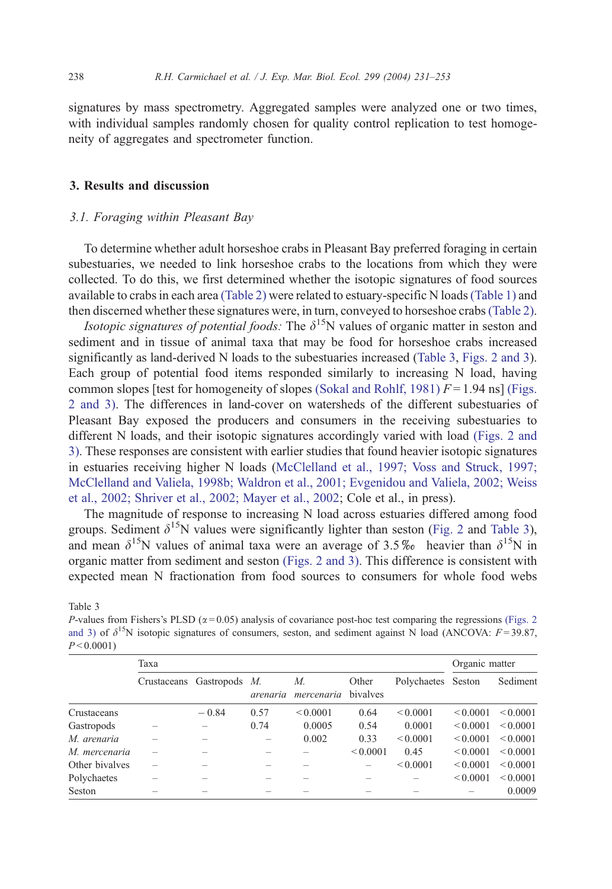<span id="page-7-0"></span>signatures by mass spectrometry. Aggregated samples were analyzed one or two times, with individual samples randomly chosen for quality control replication to test homogeneity of aggregates and spectrometer function.

# 3. Results and discussion

## 3.1. Foraging within Pleasant Bay

To determine whether adult horseshoe crabs in Pleasant Bay preferred foraging in certain subestuaries, we needed to link horseshoe crabs to the locations from which they were collected. To do this, we first determined whether the isotopic signatures of food sources available to crabs in each area [\(Table 2\)](#page-5-0) were related to estuary-specific N loads[\(Table 1\)](#page-4-0) and then discerned whether these signatures were, in turn, conveyed to horseshoe crabs[\(Table 2\).](#page-5-0)

*Isotopic signatures of potential foods:* The  $\delta^{15}N$  values of organic matter in seston and sediment and in tissue of animal taxa that may be food for horseshoe crabs increased significantly as land-derived N loads to the subestuaries increased (Table 3, [Figs. 2 and 3\)](#page-8-0). Each group of potential food items responded similarly to increasing N load, having common slopes [test for homogeneity of slopes [\(Sokal and Rohlf, 1981\)](#page-21-0)  $F = 1.94$  ns] [\(Figs.](#page-8-0) 2 and 3). The differences in land-cover on watersheds of the different subestuaries of Pleasant Bay exposed the producers and consumers in the receiving subestuaries to different N loads, and their isotopic signatures accordingly varied with load [\(Figs. 2 and](#page-8-0) 3). These responses are consistent with earlier studies that found heavier isotopic signatures in estuaries receiving higher N loads ([McClelland et al., 1997; Voss and Struck, 1997;](#page-20-0) McClelland and Valiela, 1998b; Waldron et al., 2001; Evgenidou and Valiela, 2002; Weiss et al., 2002; Shriver et al., 2002; Mayer et al., 2002; Cole et al., in press).

The magnitude of response to increasing N load across estuaries differed among food groups. Sediment  $\delta^{15}N$  values were significantly lighter than seston ([Fig. 2](#page-8-0) and Table 3), and mean  $\delta^{15}N$  values of animal taxa were an average of 3.5% heavier than  $\delta^{15}N$  in organic matter from sediment and seston [\(Figs. 2 and 3\).](#page-8-0) This difference is consistent with expected mean N fractionation from food sources to consumers for whole food webs

Table 3

P-values from Fishers's PLSD ( $\alpha$  [= 0.05\) analysis of covariance post-hoc test comparing the regressions](#page-8-0) (Figs. 2) and 3) of  $\delta^{15}N$  isotopic signatures of consumers, seston, and sediment against N load (ANCOVA:  $F = 39.87$ ,  $P < 0.0001$ 

|                | Taxa |                           |          |                  |                   |                    |               | Organic matter |  |  |
|----------------|------|---------------------------|----------|------------------|-------------------|--------------------|---------------|----------------|--|--|
|                |      | Crustaceans Gastropods M. | arenaria | М.<br>mercenaria | Other<br>bivalves | Polychaetes Seston |               | Sediment       |  |  |
| Crustaceans    |      | $-0.84$                   | 0.57     | < 0.0001         | 0.64              | < 0.0001           | < 0.0001      | < 0.0001       |  |  |
| Gastropods     |      |                           | 0.74     | 0.0005           | 0.54              | 0.0001             | ${}_{0.0001}$ | < 0.0001       |  |  |
| M. arenaria    |      |                           |          | 0.002            | 0.33              | < 0.0001           | < 0.0001      | < 0.0001       |  |  |
| M. mercenaria  |      |                           |          |                  | < 0.0001          | 0.45               | < 0.0001      | < 0.0001       |  |  |
| Other bivalves |      |                           |          |                  | -                 | ${}_{0.0001}$      | ${}_{0.0001}$ | < 0.0001       |  |  |
| Polychaetes    |      |                           |          |                  |                   |                    | ${}_{0.0001}$ | ${}_{0.0001}$  |  |  |
| Seston         |      |                           |          |                  |                   |                    |               | 0.0009         |  |  |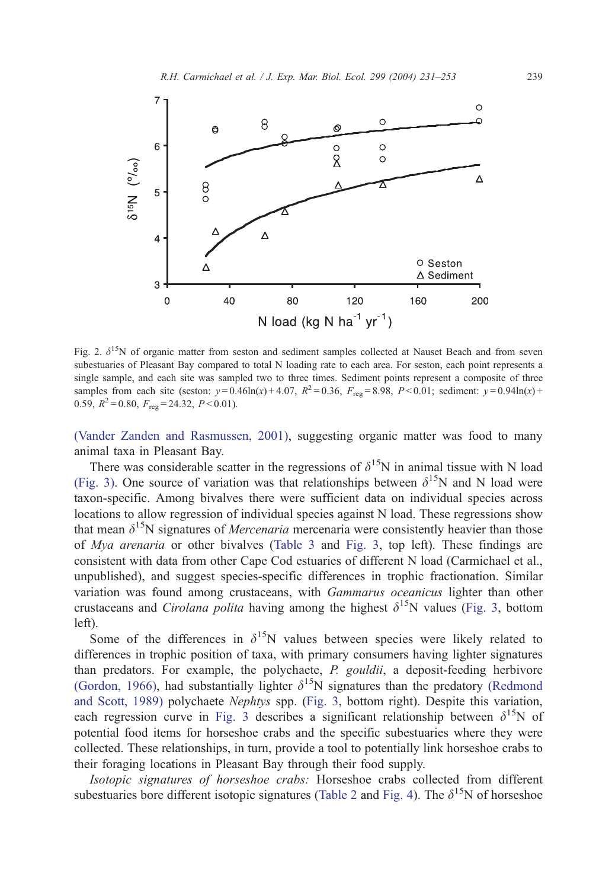<span id="page-8-0"></span>

Fig. 2.  $\delta^{15}$ N of organic matter from seston and sediment samples collected at Nauset Beach and from seven subestuaries of Pleasant Bay compared to total N loading rate to each area. For seston, each point represents a single sample, and each site was sampled two to three times. Sediment points represent a composite of three samples from each site (seston:  $y = 0.46\ln(x) + 4.07$ ,  $R^2 = 0.36$ ,  $F_{\text{reg}} = 8.98$ ,  $P < 0.01$ ; sediment:  $y = 0.94\ln(x) +$ 0.59,  $R^2 = 0.80$ ,  $F_{\text{reg}} = 24.32$ ,  $P < 0.01$ ).

[\(Vander Zanden and Rasmussen, 2001\),](#page-22-0) suggesting organic matter was food to many animal taxa in Pleasant Bay.

There was considerable scatter in the regressions of  $\delta^{15}N$  in animal tissue with N load [\(Fig. 3\).](#page-9-0) One source of variation was that relationships between  $\delta^{15}N$  and N load were taxon-specific. Among bivalves there were sufficient data on individual species across locations to allow regression of individual species against N load. These regressions show that mean  $\delta^{15}N$  signatures of *Mercenaria* mercenaria were consistently heavier than those of Mya arenaria or other bivalves ([Table 3](#page-7-0) and [Fig. 3,](#page-9-0) top left). These findings are consistent with data from other Cape Cod estuaries of different N load (Carmichael et al., unpublished), and suggest species-specific differences in trophic fractionation. Similar variation was found among crustaceans, with Gammarus oceanicus lighter than other crustaceans and *Cirolana polita* having among the highest  $\delta^{15}N$  values ([Fig. 3,](#page-9-0) bottom left).

Some of the differences in  $\delta^{15}N$  values between species were likely related to differences in trophic position of taxa, with primary consumers having lighter signatures than predators. For example, the polychaete, P. gouldii, a deposit-feeding herbivore [\(Gordon, 1966\),](#page-20-0) had substantially lighter  $\delta^{15}N$  signatures than the predatory [\(Redmond](#page-21-0) and Scott, 1989) polychaete Nephtys spp. ([Fig. 3,](#page-9-0) bottom right). Despite this variation, each regression curve in [Fig. 3](#page-9-0) describes a significant relationship between  $\delta^{15}N$  of potential food items for horseshoe crabs and the specific subestuaries where they were collected. These relationships, in turn, provide a tool to potentially link horseshoe crabs to their foraging locations in Pleasant Bay through their food supply.

Isotopic signatures of horseshoe crabs: Horseshoe crabs collected from different subestuaries bore different isotopic signatures ([Table 2](#page-5-0) and [Fig. 4\)](#page-10-0). The  $\delta^{15}N$  of horseshoe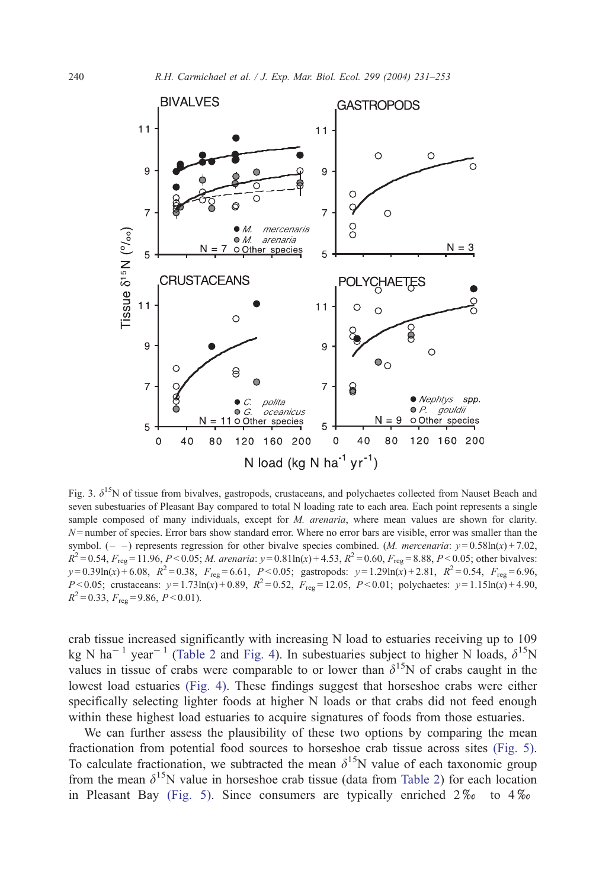<span id="page-9-0"></span>

Fig. 3.  $\delta^{15}N$  of tissue from bivalves, gastropods, crustaceans, and polychaetes collected from Nauset Beach and seven subestuaries of Pleasant Bay compared to total N loading rate to each area. Each point represents a single sample composed of many individuals, except for M. arenaria, where mean values are shown for clarity.  $N$ = number of species. Error bars show standard error. Where no error bars are visible, error was smaller than the symbol.  $(- -)$  represents regression for other bivalve species combined. (*M. mercenaria: y* = 0.58ln(x) + 7.02,  $R^2 = 0.54$ ,  $F_{\text{rec}} = 11.96$ ,  $P < 0.05$ ; *M. arenaria:*  $y = 0.81 \ln(x) + 4.53$ ,  $R^2 = 0.60$ ,  $F_{\text{rec}} = 8.88$ ,  $P < 0.05$ ; other bivalves:  $y=0.39\ln(x)+6.08$ ,  $R^2=0.38$ ,  $F_{reg}=6.61$ ,  $P<0.05$ ; gastropods:  $y=1.29\ln(x)+2.81$ ,  $R^2=0.54$ ,  $F_{reg}=6.96$ ,  $P < 0.05$ ; crustaceans:  $y = 1.73\ln(x) + 0.89$ ,  $R^2 = 0.52$ ,  $F_{reg} = 12.05$ ,  $P < 0.01$ ; polychaetes:  $y = 1.15\ln(x) + 4.90$ ,  $R^2 = 0.33$ ,  $F_{\text{req}} = 9.86$ ,  $P < 0.01$ ).

crab tissue increased significantly with increasing N load to estuaries receiving up to 109 kg N ha<sup>-1</sup> year<sup>-1</sup> ([Table 2](#page-5-0) and [Fig. 4\)](#page-10-0). In subestuaries subject to higher N loads,  $\delta^{15}N$ values in tissue of crabs were comparable to or lower than  $\delta^{15}N$  of crabs caught in the lowest load estuaries [\(Fig. 4\).](#page-10-0) These findings suggest that horseshoe crabs were either specifically selecting lighter foods at higher N loads or that crabs did not feed enough within these highest load estuaries to acquire signatures of foods from those estuaries.

We can further assess the plausibility of these two options by comparing the mean fractionation from potential food sources to horseshoe crab tissue across sites [\(Fig. 5\).](#page-11-0) To calculate fractionation, we subtracted the mean  $\delta^{15}N$  value of each taxonomic group from the mean  $\delta^{15}N$  value in horseshoe crab tissue (data from [Table 2\)](#page-5-0) for each location in Pleasant Bay [\(Fig. 5\).](#page-11-0) Since consumers are typically enriched  $2\%$  to  $4\%$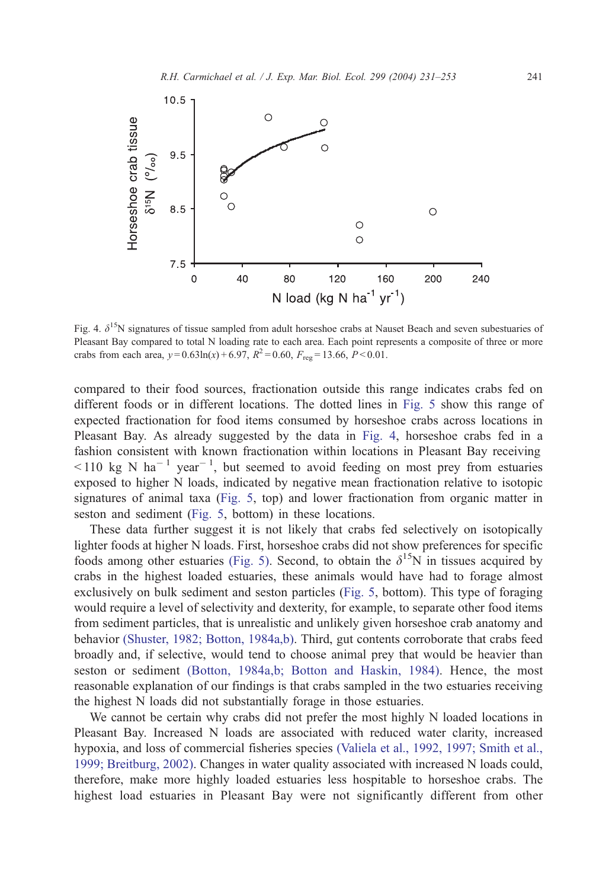<span id="page-10-0"></span>

Fig. 4.  $\delta^{15}$ N signatures of tissue sampled from adult horseshoe crabs at Nauset Beach and seven subestuaries of Pleasant Bay compared to total N loading rate to each area. Each point represents a composite of three or more crabs from each area,  $y = 0.63 \ln(x) + 6.97$ ,  $R^2 = 0.60$ ,  $F_{reg} = 13.66$ ,  $P < 0.01$ .

compared to their food sources, fractionation outside this range indicates crabs fed on different foods or in different locations. The dotted lines in [Fig. 5](#page-11-0) show this range of expected fractionation for food items consumed by horseshoe crabs across locations in Pleasant Bay. As already suggested by the data in Fig. 4, horseshoe crabs fed in a fashion consistent with known fractionation within locations in Pleasant Bay receiving  $\leq$  110 kg N ha<sup>-1</sup> year<sup>-1</sup>, but seemed to avoid feeding on most prey from estuaries exposed to higher N loads, indicated by negative mean fractionation relative to isotopic signatures of animal taxa ([Fig. 5,](#page-11-0) top) and lower fractionation from organic matter in seston and sediment ([Fig. 5,](#page-11-0) bottom) in these locations.

These data further suggest it is not likely that crabs fed selectively on isotopically lighter foods at higher N loads. First, horseshoe crabs did not show preferences for specific foods among other estuaries [\(Fig. 5\).](#page-11-0) Second, to obtain the  $\delta^{15}N$  in tissues acquired by crabs in the highest loaded estuaries, these animals would have had to forage almost exclusively on bulk sediment and seston particles ([Fig. 5,](#page-11-0) bottom). This type of foraging would require a level of selectivity and dexterity, for example, to separate other food items from sediment particles, that is unrealistic and unlikely given horseshoe crab anatomy and behavior [\(Shuster, 1982; Botton, 1984a,b\).](#page-21-0) Third, gut contents corroborate that crabs feed broadly and, if selective, would tend to choose animal prey that would be heavier than seston or sediment [\(Botton, 1984a,b; Botton and Haskin, 1984\).](#page-19-0) Hence, the most reasonable explanation of our findings is that crabs sampled in the two estuaries receiving the highest N loads did not substantially forage in those estuaries.

We cannot be certain why crabs did not prefer the most highly N loaded locations in Pleasant Bay. Increased N loads are associated with reduced water clarity, increased hypoxia, and loss of commercial fisheries species [\(Valiela et al., 1992, 1997; Smith et al.,](#page-22-0) 1999; Breitburg, 2002). Changes in water quality associated with increased N loads could, therefore, make more highly loaded estuaries less hospitable to horseshoe crabs. The highest load estuaries in Pleasant Bay were not significantly different from other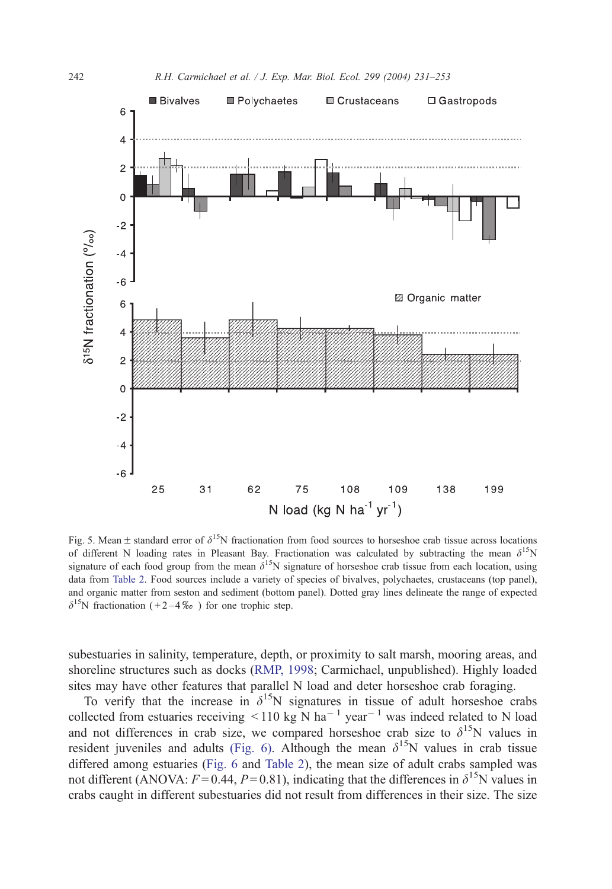<span id="page-11-0"></span>

Fig. 5. Mean  $\pm$  standard error of  $\delta^{15}N$  fractionation from food sources to horseshoe crab tissue across locations of different N loading rates in Pleasant Bay. Fractionation was calculated by subtracting the mean  $\delta^{15}N$ signature of each food group from the mean  $\delta^{15}N$  signature of horseshoe crab tissue from each location, using data from [Table 2.](#page-5-0) Food sources include a variety of species of bivalves, polychaetes, crustaceans (top panel), and organic matter from seston and sediment (bottom panel). Dotted gray lines delineate the range of expected  $\delta^{15}$ N fractionation (+2-4\%) for one trophic step.

subestuaries in salinity, temperature, depth, or proximity to salt marsh, mooring areas, and shoreline structures such as docks ([RMP, 1998;](#page-21-0) Carmichael, unpublished). Highly loaded sites may have other features that parallel N load and deter horseshoe crab foraging.

To verify that the increase in  $\delta^{15}N$  signatures in tissue of adult horseshoe crabs collected from estuaries receiving  $\leq 110$  kg N ha<sup>-1</sup> year<sup>-1</sup> was indeed related to N load and not differences in crab size, we compared horseshoe crab size to  $\delta^{15}N$  values in resident juveniles and adults [\(Fig. 6\).](#page-12-0) Although the mean  $\delta^{15}N$  values in crab tissue differed among estuaries ([Fig. 6](#page-12-0) and [Table 2\)](#page-5-0), the mean size of adult crabs sampled was not different (ANOVA:  $F = 0.44$ ,  $P = 0.81$ ), indicating that the differences in  $\delta^{15}$ N values in crabs caught in different subestuaries did not result from differences in their size. The size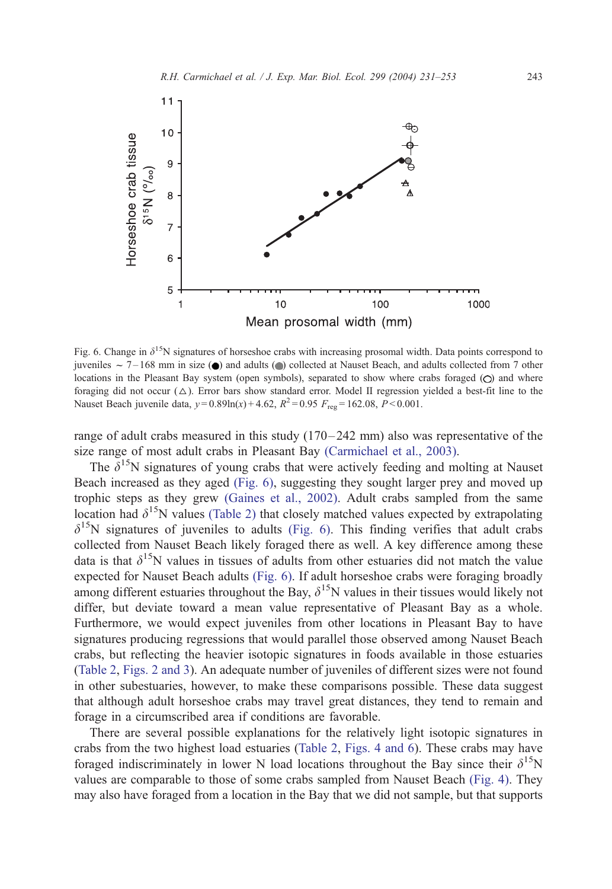<span id="page-12-0"></span>

Fig. 6. Change in  $\delta^{15}N$  signatures of horseshoe crabs with increasing prosomal width. Data points correspond to juveniles  $\sim 7 - 168$  mm in size ( $\bullet$ ) and adults ( $\bullet$ ) collected at Nauset Beach, and adults collected from 7 other locations in the Pleasant Bay system (open symbols), separated to show where crabs foraged  $(O)$  and where foraging did not occur  $(\triangle)$ . Error bars show standard error. Model II regression yielded a best-fit line to the Nauset Beach juvenile data,  $y = 0.89 \ln(x) + 4.62$ ,  $R^2 = 0.95$   $F_{\text{reg}} = 162.08$ ,  $P < 0.001$ .

range of adult crabs measured in this study  $(170 - 242 \text{ mm})$  also was representative of the size range of most adult crabs in Pleasant Bay [\(Carmichael et al., 2003\).](#page-19-0)

The  $\delta^{15}$ N signatures of young crabs that were actively feeding and molting at Nauset Beach increased as they aged (Fig. 6), suggesting they sought larger prey and moved up trophic steps as they grew [\(Gaines et al., 2002\).](#page-20-0) Adult crabs sampled from the same location had  $\delta^{15}N$  values [\(Table 2\)](#page-5-0) that closely matched values expected by extrapolating  $\delta^{15}$ N signatures of juveniles to adults (Fig. 6). This finding verifies that adult crabs collected from Nauset Beach likely foraged there as well. A key difference among these data is that  $\delta^{15}N$  values in tissues of adults from other estuaries did not match the value expected for Nauset Beach adults (Fig. 6). If adult horseshoe crabs were foraging broadly among different estuaries throughout the Bay,  $\delta^{15}N$  values in their tissues would likely not differ, but deviate toward a mean value representative of Pleasant Bay as a whole. Furthermore, we would expect juveniles from other locations in Pleasant Bay to have signatures producing regressions that would parallel those observed among Nauset Beach crabs, but reflecting the heavier isotopic signatures in foods available in those estuaries ([Table 2,](#page-5-0) [Figs. 2 and 3\)](#page-8-0). An adequate number of juveniles of different sizes were not found in other subestuaries, however, to make these comparisons possible. These data suggest that although adult horseshoe crabs may travel great distances, they tend to remain and forage in a circumscribed area if conditions are favorable.

There are several possible explanations for the relatively light isotopic signatures in crabs from the two highest load estuaries ([Table 2,](#page-5-0) [Figs. 4 and 6\)](#page-10-0). These crabs may have foraged indiscriminately in lower N load locations throughout the Bay since their  $\delta^{15}N$ values are comparable to those of some crabs sampled from Nauset Beach [\(Fig. 4\).](#page-10-0) They may also have foraged from a location in the Bay that we did not sample, but that supports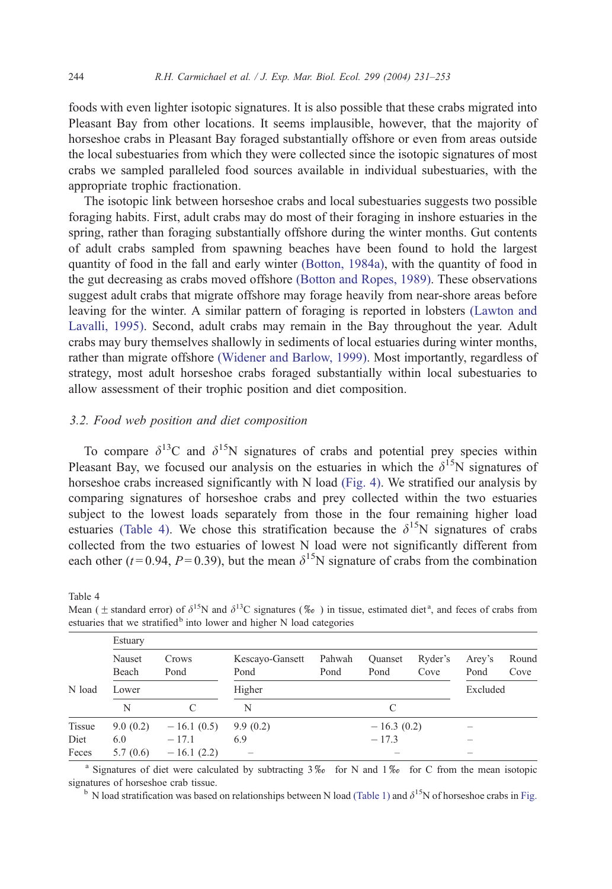<span id="page-13-0"></span>foods with even lighter isotopic signatures. It is also possible that these crabs migrated into Pleasant Bay from other locations. It seems implausible, however, that the majority of horseshoe crabs in Pleasant Bay foraged substantially offshore or even from areas outside the local subestuaries from which they were collected since the isotopic signatures of most crabs we sampled paralleled food sources available in individual subestuaries, with the appropriate trophic fractionation.

The isotopic link between horseshoe crabs and local subestuaries suggests two possible foraging habits. First, adult crabs may do most of their foraging in inshore estuaries in the spring, rather than foraging substantially offshore during the winter months. Gut contents of adult crabs sampled from spawning beaches have been found to hold the largest quantity of food in the fall and early winter [\(Botton, 1984a\),](#page-19-0) with the quantity of food in the gut decreasing as crabs moved offshore [\(Botton and Ropes, 1989\).](#page-19-0) These observations suggest adult crabs that migrate offshore may forage heavily from near-shore areas before leaving for the winter. A similar pattern of foraging is reported in lobsters [\(Lawton and](#page-20-0) Lavalli, 1995). Second, adult crabs may remain in the Bay throughout the year. Adult crabs may bury themselves shallowly in sediments of local estuaries during winter months, rather than migrate offshore [\(Widener and Barlow, 1999\).](#page-22-0) Most importantly, regardless of strategy, most adult horseshoe crabs foraged substantially within local subestuaries to allow assessment of their trophic position and diet composition.

## 3.2. Food web position and diet composition

To compare  $\delta^{13}$ C and  $\delta^{15}$ N signatures of crabs and potential prey species within Pleasant Bay, we focused our analysis on the estuaries in which the  $\delta^{15}N$  signatures of horseshoe crabs increased significantly with N load [\(Fig. 4\).](#page-10-0) We stratified our analysis by comparing signatures of horseshoe crabs and prey collected within the two estuaries subject to the lowest loads separately from those in the four remaining higher load estuaries (Table 4). We chose this stratification because the  $\delta^{15}N$  signatures of crabs collected from the two estuaries of lowest N load were not significantly different from each other (t=0.94, P=0.39), but the mean  $\delta^{15}N$  signature of crabs from the combination

Table 4

Mean ( $\pm$  standard error) of  $\delta^{15}N$  and  $\delta^{13}C$  signatures (% $\omega$ ) in tissue, estimated diet<sup>a</sup>, and feces of crabs from estuaries that we stratified<sup>b</sup> into lower and higher N load categories

| Estuary |                 |               |                         |                |                          |                 |                |               |  |
|---------|-----------------|---------------|-------------------------|----------------|--------------------------|-----------------|----------------|---------------|--|
|         | Nauset<br>Beach | Crows<br>Pond | Kescayo-Gansett<br>Pond | Pahwah<br>Pond | <b>Ouanset</b><br>Pond   | Ryder's<br>Cove | Arey's<br>Pond | Round<br>Cove |  |
| N load  | Lower           |               | Higher                  |                | Excluded                 |                 |                |               |  |
|         | N               |               | N                       |                |                          |                 |                |               |  |
| Tissue  | 9.0(0.2)        | $-16.1(0.5)$  | 9.9(0.2)                |                | $-16.3(0.2)$             |                 |                |               |  |
| Diet    | 6.0             | $-17.1$       | 6.9                     |                | $-17.3$                  |                 | -              |               |  |
| Feces   | 5.7(0.6)        | $-16.1(2.2)$  |                         |                | $\overline{\phantom{a}}$ |                 | -              |               |  |

<sup>a</sup> Signatures of diet were calculated by subtracting  $3\%$  for N and  $1\%$  for C from the mean isotopic signatures of horseshoe crab tissue.

 $b$  [N load stratification was based on relationships between N load](#page-4-0) (Table 1) and  $\delta^{15}$ N of horseshoe crabs in Fig.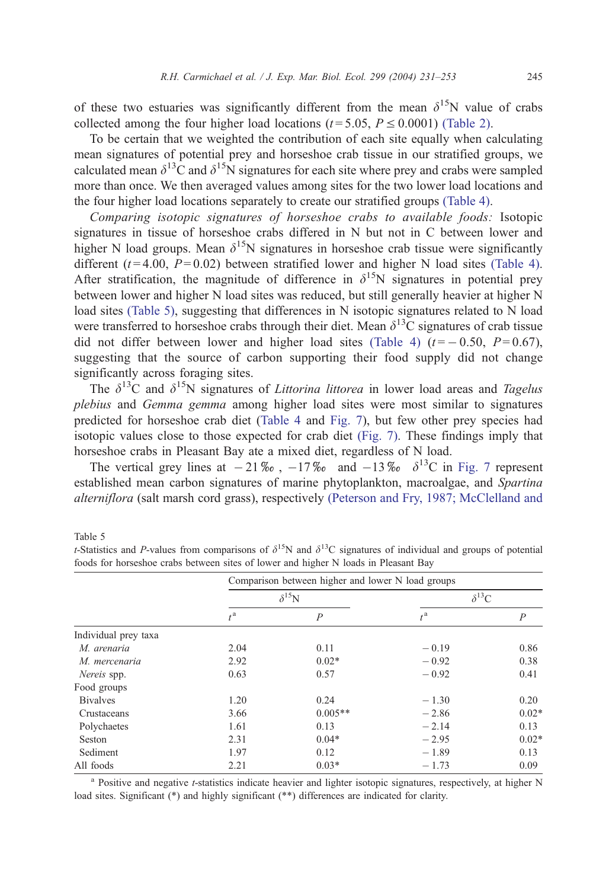<span id="page-14-0"></span>of these two estuaries was significantly different from the mean  $\delta^{15}N$  value of crabs collected among the four higher load locations ( $t = 5.05$ ,  $P \le 0.0001$ ) [\(Table 2\).](#page-5-0)

To be certain that we weighted the contribution of each site equally when calculating mean signatures of potential prey and horseshoe crab tissue in our stratified groups, we calculated mean  $\delta^{13}$ C and  $\delta^{15}$ N signatures for each site where prey and crabs were sampled more than once. We then averaged values among sites for the two lower load locations and the four higher load locations separately to create our stratified groups [\(Table 4\).](#page-13-0)

Comparing isotopic signatures of horseshoe crabs to available foods: Isotopic signatures in tissue of horseshoe crabs differed in N but not in C between lower and higher N load groups. Mean  $\delta^{15}N$  signatures in horseshoe crab tissue were significantly different ( $t = 4.00$ ,  $P = 0.02$ ) between stratified lower and higher N load sites [\(Table 4\).](#page-13-0) After stratification, the magnitude of difference in  $\delta^{15}N$  signatures in potential prey between lower and higher N load sites was reduced, but still generally heavier at higher N load sites (Table 5), suggesting that differences in N isotopic signatures related to N load were transferred to horseshoe crabs through their diet. Mean  $\delta^{13}$ C signatures of crab tissue did not differ between lower and higher load sites [\(Table 4\)](#page-13-0)  $(t = -0.50, P = 0.67)$ , suggesting that the source of carbon supporting their food supply did not change significantly across foraging sites.

The  $\delta^{13}$ C and  $\delta^{15}$ N signatures of *Littorina littorea* in lower load areas and *Tagelus* plebius and Gemma gemma among higher load sites were most similar to signatures predicted for horseshoe crab diet ([Table 4](#page-13-0) and [Fig. 7\)](#page-15-0), but few other prey species had isotopic values close to those expected for crab diet [\(Fig. 7\).](#page-15-0) These findings imply that horseshoe crabs in Pleasant Bay ate a mixed diet, regardless of N load.

The vertical grey lines at  $-21\%$ ,  $-17\%$  and  $-13\%$   $\delta^{13}$ C in [Fig. 7](#page-15-0) represent established mean carbon signatures of marine phytoplankton, macroalgae, and Spartina alterniflora (salt marsh cord grass), respectively [\(Peterson and Fry, 1987; McClelland and](#page-21-0)

Table 5

|                      | Comparison between higher and lower N load groups |                |                  |                |  |  |  |
|----------------------|---------------------------------------------------|----------------|------------------|----------------|--|--|--|
|                      |                                                   | $\delta^{15}N$ | $\delta^{13}C$   |                |  |  |  |
|                      | $t^{\mathrm{a}}$                                  | $\overline{P}$ | $t^{\mathrm{a}}$ | $\overline{P}$ |  |  |  |
| Individual prey taxa |                                                   |                |                  |                |  |  |  |
| M. arenaria          | 2.04                                              | 0.11           | $-0.19$          | 0.86           |  |  |  |
| M. mercenaria        | 2.92                                              | $0.02*$        | $-0.92$          | 0.38           |  |  |  |
| Nereis spp.          | 0.63                                              | 0.57           | $-0.92$          | 0.41           |  |  |  |
| Food groups          |                                                   |                |                  |                |  |  |  |
| <b>B</b> ivalves     | 1.20                                              | 0.24           | $-1.30$          | 0.20           |  |  |  |
| Crustaceans          | 3.66                                              | $0.005**$      | $-2.86$          | $0.02*$        |  |  |  |
| Polychaetes          | 1.61                                              | 0.13           | $-2.14$          | 0.13           |  |  |  |
| Seston               | 2.31                                              | $0.04*$        | $-2.95$          | $0.02*$        |  |  |  |
| Sediment             | 1.97                                              | 0.12           | $-1.89$          | 0.13           |  |  |  |
| All foods            | 2.21                                              | $0.03*$        | $-1.73$          | 0.09           |  |  |  |

t-Statistics and P-values from comparisons of  $\delta^{15}N$  and  $\delta^{13}C$  signatures of individual and groups of potential foods for horseshoe crabs between sites of lower and higher N loads in Pleasant Bay

<sup>a</sup> Positive and negative *t*-statistics indicate heavier and lighter isotopic signatures, respectively, at higher N load sites. Significant (\*) and highly significant (\*\*) differences are indicated for clarity.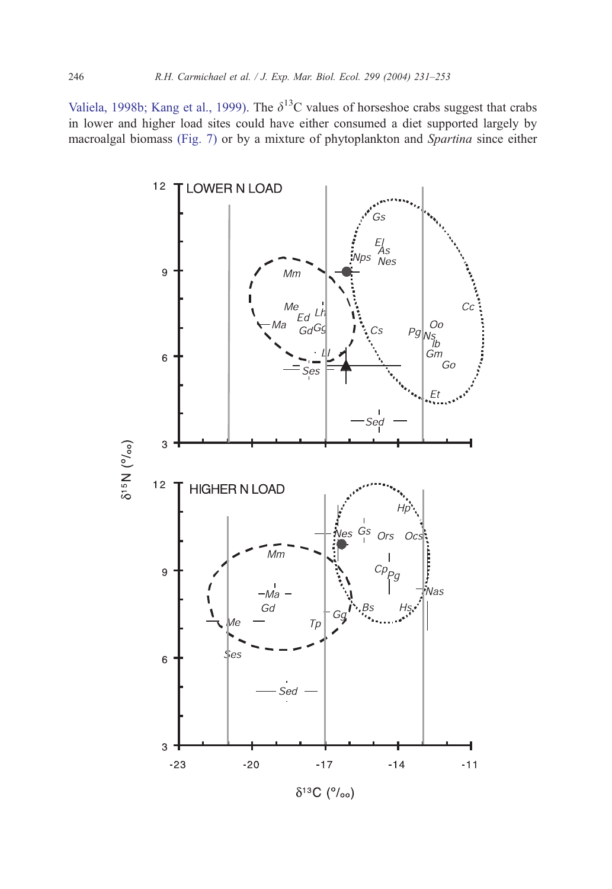<span id="page-15-0"></span>Valiela, 1998b; Kang et al., 1999). The  $\delta^{13}$ C values of horseshoe crabs suggest that crabs in lower and higher load sites could have either consumed a diet supported largely by macroalgal biomass (Fig. 7) or by a mixture of phytoplankton and Spartina since either

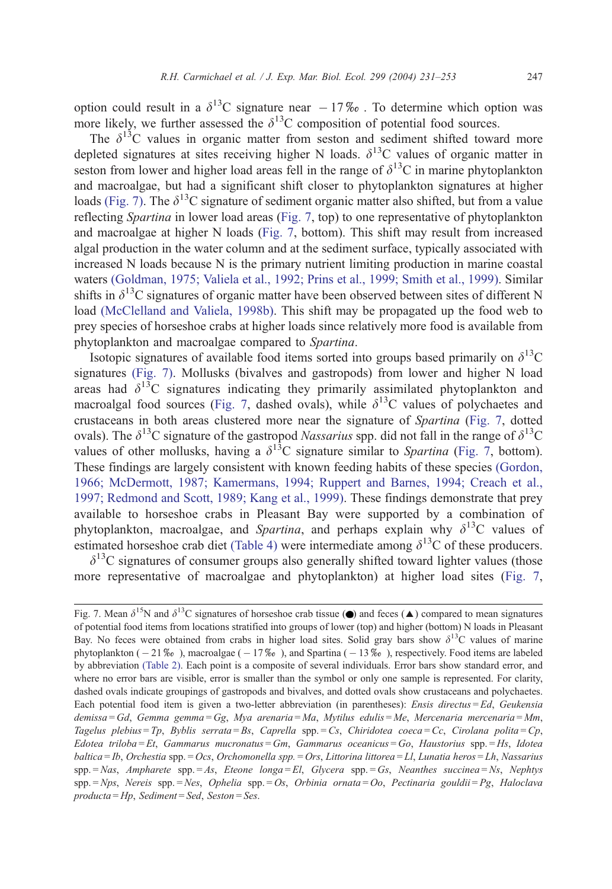option could result in a  $\delta^{13}$ C signature near  $-17\%$ . To determine which option was more likely, we further assessed the  $\delta^{13}$ C composition of potential food sources.

The  $\delta^{13}$ C values in organic matter from seston and sediment shifted toward more depleted signatures at sites receiving higher N loads.  $\delta^{13}$ C values of organic matter in seston from lower and higher load areas fell in the range of  $\delta^{13}C$  in marine phytoplankton and macroalgae, but had a significant shift closer to phytoplankton signatures at higher loads [\(Fig. 7\).](#page-15-0) The  $\delta^{13}$ C signature of sediment organic matter also shifted, but from a value reflecting Spartina in lower load areas ([Fig. 7,](#page-15-0) top) to one representative of phytoplankton and macroalgae at higher N loads ([Fig. 7,](#page-15-0) bottom). This shift may result from increased algal production in the water column and at the sediment surface, typically associated with increased N loads because N is the primary nutrient limiting production in marine coastal waters [\(Goldman, 1975; Valiela et al., 1992; Prins et al., 1999; Smith et al., 1999\).](#page-20-0) Similar shifts in  $\delta^{13}$ C signatures of organic matter have been observed between sites of different N load [\(McClelland and Valiela, 1998b\).](#page-20-0) This shift may be propagated up the food web to prey species of horseshoe crabs at higher loads since relatively more food is available from phytoplankton and macroalgae compared to Spartina.

Isotopic signatures of available food items sorted into groups based primarily on  $\delta^{13}C$ signatures [\(Fig. 7\).](#page-15-0) Mollusks (bivalves and gastropods) from lower and higher N load areas had  $\delta^{13}$ C signatures indicating they primarily assimilated phytoplankton and macroalgal food sources ([Fig. 7,](#page-15-0) dashed ovals), while  $\delta^{13}$ C values of polychaetes and crustaceans in both areas clustered more near the signature of Spartina ([Fig. 7,](#page-15-0) dotted ovals). The  $\delta^{13}$ C signature of the gastropod *Nassarius* spp. did not fall in the range of  $\delta^{13}$ C values of other mollusks, having a  $\delta^{13}$ C signature similar to Spartina ([Fig. 7,](#page-15-0) bottom). These findings are largely consistent with known feeding habits of these species [\(Gordon,](#page-20-0) 1966; McDermott, 1987; Kamermans, 1994; Ruppert and Barnes, 1994; Creach et al., 1997; Redmond and Scott, 1989; Kang et al., 1999). These findings demonstrate that prey available to horseshoe crabs in Pleasant Bay were supported by a combination of phytoplankton, macroalgae, and Spartina, and perhaps explain why  $\delta^{13}C$  values of estimated horseshoe crab diet [\(Table 4\)](#page-13-0) were intermediate among  $\delta^{13}$ C of these producers.

 $\delta^{13}$ C signatures of consumer groups also generally shifted toward lighter values (those more representative of macroalgae and phytoplankton) at higher load sites ([Fig. 7,](#page-15-0)

Fig. 7. Mean  $\delta^{15}N$  and  $\delta^{13}C$  signatures of horseshoe crab tissue ( $\bullet$ ) and feces ( $\blacktriangle$ ) compared to mean signatures of potential food items from locations stratified into groups of lower (top) and higher (bottom) N loads in Pleasant Bay. No feces were obtained from crabs in higher load sites. Solid gray bars show  $\delta^{13}C$  values of marine phytoplankton  $(-21\% \circ )$ , macroalgae  $(-17\% \circ )$ , and Spartina  $(-13\% \circ )$ , respectively. Food items are labeled by abbreviation [\(Table 2\).](#page-5-0) Each point is a composite of several individuals. Error bars show standard error, and where no error bars are visible, error is smaller than the symbol or only one sample is represented. For clarity, dashed ovals indicate groupings of gastropods and bivalves, and dotted ovals show crustaceans and polychaetes. Each potential food item is given a two-letter abbreviation (in parentheses): Ensis directus = Ed, Geukensia demissa = Gd, Gemma gemma = Gg, Mya arenaria = Ma, Mytilus edulis = Me, Mercenaria mercenaria = Mm, Tagelus plebius = Tp, Byblis serrata = Bs, Caprella spp. = Cs, Chiridotea coeca = Cc, Cirolana polita = Cp, Edotea triloba = Et, Gammarus mucronatus = Gm, Gammarus oceanicus = Go, Haustorius spp. = Hs, Idotea baltica = Ib, Orchestia spp. = Ocs, Orchomonella spp. = Ors, Littorina littorea = Ll, Lunatia heros = Lh, Nassarius  $spp = Nas$ , Ampharete  $spp = As$ , Eteone longa = El, Glycera  $spp = Gs$ , Neanthes succinea = Ns, Nephtys spp. = Nps, Nereis spp. = Nes, Ophelia spp. = Os, Orbinia ornata = Oo, Pectinaria gouldii = Pg, Haloclava producta = Hp, Sediment = Sed, Seston = Ses.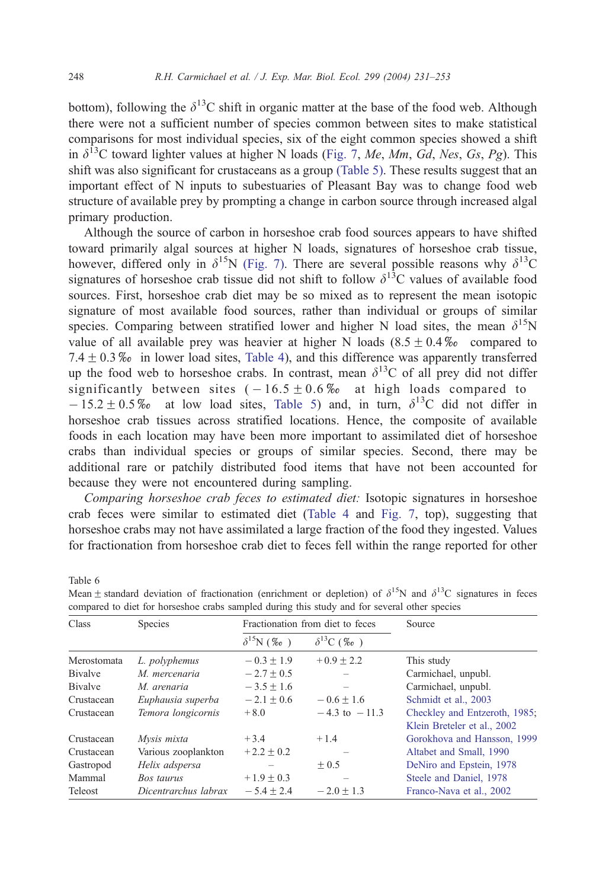<span id="page-17-0"></span>bottom), following the  $\delta^{13}$ C shift in organic matter at the base of the food web. Although there were not a sufficient number of species common between sites to make statistical comparisons for most individual species, six of the eight common species showed a shift in  $\delta^{13}$ C toward lighter values at higher N loads ([Fig. 7,](#page-15-0) Me, Mm, Gd, Nes, Gs, Pg). This shift was also significant for crustaceans as a group [\(Table 5\).](#page-14-0) These results suggest that an important effect of N inputs to subestuaries of Pleasant Bay was to change food web structure of available prey by prompting a change in carbon source through increased algal primary production.

Although the source of carbon in horseshoe crab food sources appears to have shifted toward primarily algal sources at higher N loads, signatures of horseshoe crab tissue, however, differed only in  $\delta^{15}N$  [\(Fig. 7\).](#page-15-0) There are several possible reasons why  $\delta^{13}C$ signatures of horseshoe crab tissue did not shift to follow  $\delta^{13}$ C values of available food sources. First, horseshoe crab diet may be so mixed as to represent the mean isotopic signature of most available food sources, rather than individual or groups of similar species. Comparing between stratified lower and higher N load sites, the mean  $\delta^{15}N$ value of all available prey was heavier at higher N loads  $(8.5 \pm 0.4\%)$  compared to 7.4  $\pm$  0.3% $\omega$  in lower load sites, [Table 4\)](#page-13-0), and this difference was apparently transferred up the food web to horseshoe crabs. In contrast, mean  $\delta^{13}$ C of all prey did not differ significantly between sites  $(-16.5 \pm 0.6\% \text{ at high loads compared to}$  $-15.2 \pm 0.5\%$  at low load sites, [Table 5\)](#page-14-0) and, in turn,  $\delta^{13}$ C did not differ in horseshoe crab tissues across stratified locations. Hence, the composite of available foods in each location may have been more important to assimilated diet of horseshoe crabs than individual species or groups of similar species. Second, there may be additional rare or patchily distributed food items that have not been accounted for because they were not encountered during sampling.

Comparing horseshoe crab feces to estimated diet: Isotopic signatures in horseshoe crab feces were similar to estimated diet ([Table 4](#page-13-0) and [Fig. 7,](#page-15-0) top), suggesting that horseshoe crabs may not have assimilated a large fraction of the food they ingested. Values for fractionation from horseshoe crab diet to feces fell within the range reported for other

| Class           | Species              |                          | Fractionation from diet to feces | Source                                                       |  |  |
|-----------------|----------------------|--------------------------|----------------------------------|--------------------------------------------------------------|--|--|
|                 |                      | $\delta^{15}N$ (% $_0$ ) | $\delta^{13}C$ (%0)              |                                                              |  |  |
| Merostomata     | L. polyphemus        | $-0.3 + 1.9$             | $+0.9 + 2.2$                     | This study                                                   |  |  |
| <b>B</b> ivalve | M. mercenaria        | $-2.7 \pm 0.5$           |                                  | Carmichael, unpubl.                                          |  |  |
| <b>Bivalve</b>  | M. arenaria          | $-3.5 + 1.6$             |                                  | Carmichael, unpubl.                                          |  |  |
| Crustacean      | Euphausia superba    | $-2.1 + 0.6$             | $-0.6 + 1.6$                     | Schmidt et al., 2003                                         |  |  |
| Crustacean      | Temora longicornis   | $+8.0$                   | $-4.3$ to $-11.3$                | Checkley and Entzeroth, 1985;<br>Klein Breteler et al., 2002 |  |  |
| Crustacean      | Mysis mixta          | $+3.4$                   | $+1.4$                           | Gorokhova and Hansson, 1999                                  |  |  |
| Crustacean      | Various zooplankton  | $+2.2 + 0.2$             |                                  | Altabet and Small, 1990                                      |  |  |
| Gastropod       | Helix adspersa       |                          | $+0.5$                           | DeNiro and Epstein, 1978                                     |  |  |
| Mammal          | Bos taurus           | $+1.9 \pm 0.3$           |                                  | Steele and Daniel, 1978                                      |  |  |
| Teleost         | Dicentrarchus labrax | $-5.4 \pm 2.4$           | $-2.0 \pm 1.3$                   | Franco-Nava et al., 2002                                     |  |  |

Mean  $\pm$  standard deviation of fractionation (enrichment or depletion) of  $\delta^{15}N$  and  $\delta^{13}C$  signatures in feces compared to diet for horseshoe crabs sampled during this study and for several other species

Table 6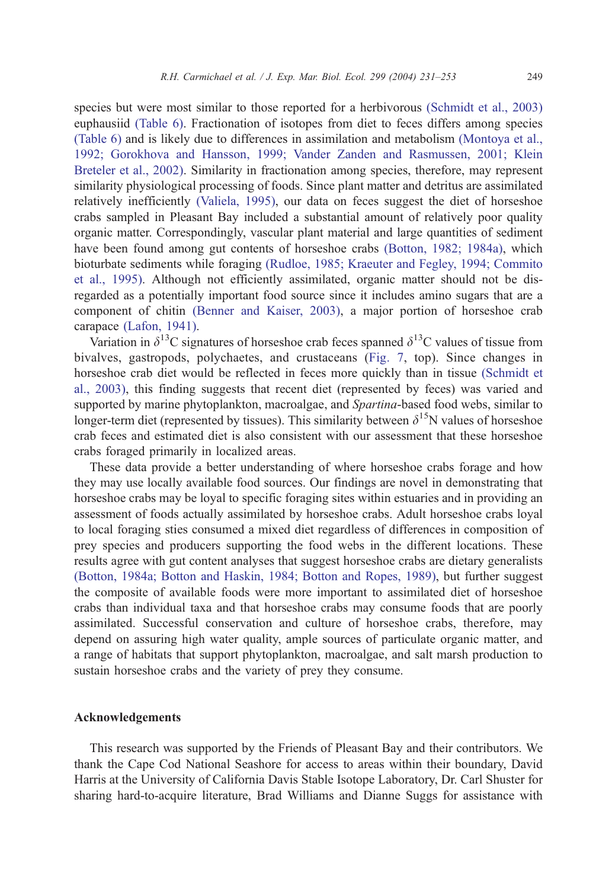species but were most similar to those reported for a herbivorous [\(Schmidt et al., 2003\)](#page-21-0) euphausiid [\(Table 6\).](#page-17-0) Fractionation of isotopes from diet to feces differs among species [\(Table 6\)](#page-17-0) and is likely due to differences in assimilation and metabolism [\(Montoya et al.,](#page-21-0) 1992; Gorokhova and Hansson, 1999; Vander Zanden and Rasmussen, 2001; Klein Breteler et al., 2002). Similarity in fractionation among species, therefore, may represent similarity physiological processing of foods. Since plant matter and detritus are assimilated relatively inefficiently [\(Valiela, 1995\),](#page-22-0) our data on feces suggest the diet of horseshoe crabs sampled in Pleasant Bay included a substantial amount of relatively poor quality organic matter. Correspondingly, vascular plant material and large quantities of sediment have been found among gut contents of horseshoe crabs [\(Botton, 1982; 1984a\),](#page-19-0) which bioturbate sediments while foraging [\(Rudloe, 1985; Kraeuter and Fegley, 1994; Commito](#page-21-0) et al., 1995). Although not efficiently assimilated, organic matter should not be disregarded as a potentially important food source since it includes amino sugars that are a component of chitin [\(Benner and Kaiser, 2003\),](#page-19-0) a major portion of horseshoe crab carapace [\(Lafon, 1941\).](#page-20-0)

Variation in  $\delta^{13}$ C signatures of horseshoe crab feces spanned  $\delta^{13}$ C values of tissue from bivalves, gastropods, polychaetes, and crustaceans ([Fig. 7,](#page-15-0) top). Since changes in horseshoe crab diet would be reflected in feces more quickly than in tissue [\(Schmidt et](#page-21-0) al., 2003), this finding suggests that recent diet (represented by feces) was varied and supported by marine phytoplankton, macroalgae, and *Spartina*-based food webs, similar to longer-term diet (represented by tissues). This similarity between  $\delta^{15}N$  values of horseshoe crab feces and estimated diet is also consistent with our assessment that these horseshoe crabs foraged primarily in localized areas.

These data provide a better understanding of where horseshoe crabs forage and how they may use locally available food sources. Our findings are novel in demonstrating that horseshoe crabs may be loyal to specific foraging sites within estuaries and in providing an assessment of foods actually assimilated by horseshoe crabs. Adult horseshoe crabs loyal to local foraging sties consumed a mixed diet regardless of differences in composition of prey species and producers supporting the food webs in the different locations. These results agree with gut content analyses that suggest horseshoe crabs are dietary generalists [\(Botton, 1984a; Botton and Haskin, 1984; Botton and Ropes, 1989\),](#page-19-0) but further suggest the composite of available foods were more important to assimilated diet of horseshoe crabs than individual taxa and that horseshoe crabs may consume foods that are poorly assimilated. Successful conservation and culture of horseshoe crabs, therefore, may depend on assuring high water quality, ample sources of particulate organic matter, and a range of habitats that support phytoplankton, macroalgae, and salt marsh production to sustain horseshoe crabs and the variety of prey they consume.

## Acknowledgements

This research was supported by the Friends of Pleasant Bay and their contributors. We thank the Cape Cod National Seashore for access to areas within their boundary, David Harris at the University of California Davis Stable Isotope Laboratory, Dr. Carl Shuster for sharing hard-to-acquire literature, Brad Williams and Dianne Suggs for assistance with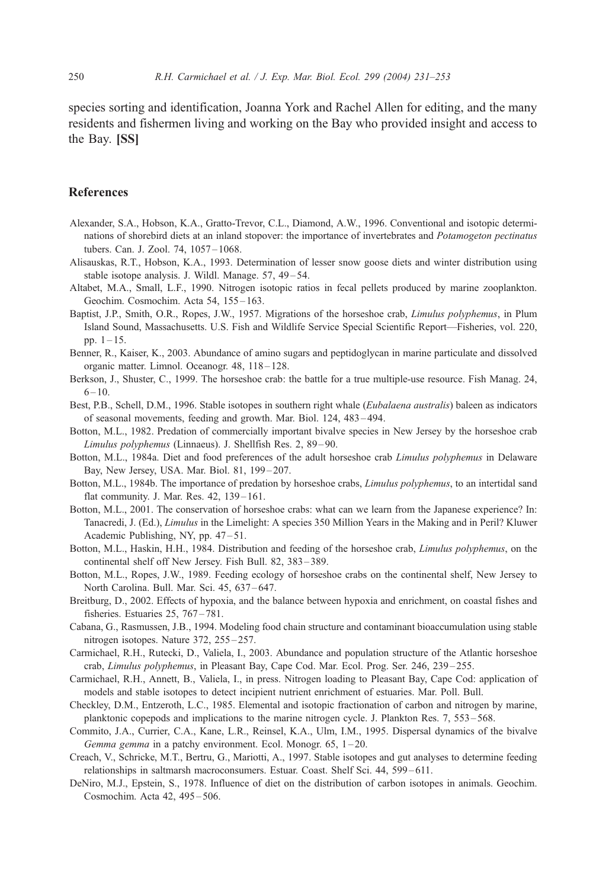<span id="page-19-0"></span>species sorting and identification, Joanna York and Rachel Allen for editing, and the many residents and fishermen living and working on the Bay who provided insight and access to the Bay. [SS]

## References

- Alexander, S.A., Hobson, K.A., Gratto-Trevor, C.L., Diamond, A.W., 1996. Conventional and isotopic determinations of shorebird diets at an inland stopover: the importance of invertebrates and Potamogeton pectinatus tubers. Can. J. Zool. 74, 1057 – 1068.
- Alisauskas, R.T., Hobson, K.A., 1993. Determination of lesser snow goose diets and winter distribution using stable isotope analysis. J. Wildl. Manage. 57, 49–54.
- Altabet, M.A., Small, L.F., 1990. Nitrogen isotopic ratios in fecal pellets produced by marine zooplankton. Geochim. Cosmochim. Acta 54, 155-163.
- Baptist, J.P., Smith, O.R., Ropes, J.W., 1957. Migrations of the horseshoe crab, Limulus polyphemus, in Plum Island Sound, Massachusetts. U.S. Fish and Wildlife Service Special Scientific Report—Fisheries, vol. 220, pp.  $1 - 15$ .
- Benner, R., Kaiser, K., 2003. Abundance of amino sugars and peptidoglycan in marine particulate and dissolved organic matter. Limnol. Oceanogr. 48, 118 – 128.
- Berkson, J., Shuster, C., 1999. The horseshoe crab: the battle for a true multiple-use resource. Fish Manag. 24,  $6 - 10.$
- Best, P.B., Schell, D.M., 1996. Stable isotopes in southern right whale (*Eubalaena australis*) baleen as indicators of seasonal movements, feeding and growth. Mar. Biol. 124, 483 – 494.
- Botton, M.L., 1982. Predation of commercially important bivalve species in New Jersey by the horseshoe crab Limulus polyphemus (Linnaeus). J. Shellfish Res. 2, 89 – 90.
- Botton, M.L., 1984a. Diet and food preferences of the adult horseshoe crab Limulus polyphemus in Delaware Bay, New Jersey, USA. Mar. Biol. 81, 199 – 207.
- Botton, M.L., 1984b. The importance of predation by horseshoe crabs, Limulus polyphemus, to an intertidal sand flat community. J. Mar. Res. 42, 139 – 161.
- Botton, M.L., 2001. The conservation of horseshoe crabs: what can we learn from the Japanese experience? In: Tanacredi, J. (Ed.), Limulus in the Limelight: A species 350 Million Years in the Making and in Peril? Kluwer Academic Publishing, NY, pp. 47–51.
- Botton, M.L., Haskin, H.H., 1984. Distribution and feeding of the horseshoe crab, Limulus polyphemus, on the continental shelf off New Jersey. Fish Bull. 82, 383 – 389.
- Botton, M.L., Ropes, J.W., 1989. Feeding ecology of horseshoe crabs on the continental shelf, New Jersey to North Carolina. Bull. Mar. Sci. 45, 637-647.
- Breitburg, D., 2002. Effects of hypoxia, and the balance between hypoxia and enrichment, on coastal fishes and fisheries. Estuaries 25, 767-781.
- Cabana, G., Rasmussen, J.B., 1994. Modeling food chain structure and contaminant bioaccumulation using stable nitrogen isotopes. Nature 372, 255 – 257.
- Carmichael, R.H., Rutecki, D., Valiela, I., 2003. Abundance and population structure of the Atlantic horseshoe crab, Limulus polyphemus, in Pleasant Bay, Cape Cod. Mar. Ecol. Prog. Ser. 246, 239 – 255.
- Carmichael, R.H., Annett, B., Valiela, I., in press. Nitrogen loading to Pleasant Bay, Cape Cod: application of models and stable isotopes to detect incipient nutrient enrichment of estuaries. Mar. Poll. Bull.
- Checkley, D.M., Entzeroth, L.C., 1985. Elemental and isotopic fractionation of carbon and nitrogen by marine, planktonic copepods and implications to the marine nitrogen cycle. J. Plankton Res. 7, 553 – 568.
- Commito, J.A., Currier, C.A., Kane, L.R., Reinsel, K.A., Ulm, I.M., 1995. Dispersal dynamics of the bivalve Gemma gemma in a patchy environment. Ecol. Monogr. 65, 1-20.
- Creach, V., Schricke, M.T., Bertru, G., Mariotti, A., 1997. Stable isotopes and gut analyses to determine feeding relationships in saltmarsh macroconsumers. Estuar. Coast. Shelf Sci. 44, 599 – 611.
- DeNiro, M.J., Epstein, S., 1978. Influence of diet on the distribution of carbon isotopes in animals. Geochim. Cosmochim. Acta 42, 495 – 506.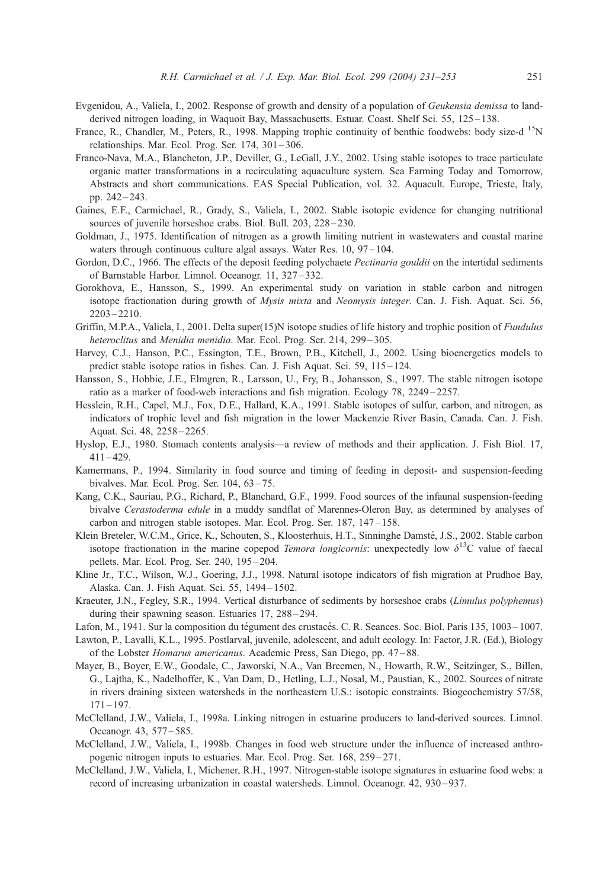- <span id="page-20-0"></span>Evgenidou, A., Valiela, I., 2002. Response of growth and density of a population of Geukensia demissa to landderived nitrogen loading, in Waquoit Bay, Massachusetts. Estuar. Coast. Shelf Sci. 55, 125–138.
- France, R., Chandler, M., Peters, R., 1998. Mapping trophic continuity of benthic foodwebs: body size-d<sup>15</sup>N relationships. Mar. Ecol. Prog. Ser. 174, 301 – 306.
- Franco-Nava, M.A., Blancheton, J.P., Deviller, G., LeGall, J.Y., 2002. Using stable isotopes to trace particulate organic matter transformations in a recirculating aquaculture system. Sea Farming Today and Tomorrow, Abstracts and short communications. EAS Special Publication, vol. 32. Aquacult. Europe, Trieste, Italy, pp. 242 – 243.
- Gaines, E.F., Carmichael, R., Grady, S., Valiela, I., 2002. Stable isotopic evidence for changing nutritional sources of juvenile horseshoe crabs. Biol. Bull. 203, 228-230.
- Goldman, J., 1975. Identification of nitrogen as a growth limiting nutrient in wastewaters and coastal marine waters through continuous culture algal assays. Water Res. 10, 97-104.
- Gordon, D.C., 1966. The effects of the deposit feeding polychaete *Pectinaria gouldii* on the intertidal sediments of Barnstable Harbor. Limnol. Oceanogr. 11, 327 – 332.
- Gorokhova, E., Hansson, S., 1999. An experimental study on variation in stable carbon and nitrogen isotope fractionation during growth of *Mysis mixta* and *Neomysis integer*. Can. J. Fish. Aquat. Sci. 56, 2203 – 2210.
- Griffin, M.P.A., Valiela, I., 2001. Delta super(15)N isotope studies of life history and trophic position of *Fundulus* heteroclitus and Menidia menidia. Mar. Ecol. Prog. Ser. 214, 299-305.
- Harvey, C.J., Hanson, P.C., Essington, T.E., Brown, P.B., Kitchell, J., 2002. Using bioenergetics models to predict stable isotope ratios in fishes. Can. J. Fish Aquat. Sci. 59, 115 – 124.
- Hansson, S., Hobbie, J.E., Elmgren, R., Larsson, U., Fry, B., Johansson, S., 1997. The stable nitrogen isotope ratio as a marker of food-web interactions and fish migration. Ecology 78, 2249 – 2257.
- Hesslein, R.H., Capel, M.J., Fox, D.E., Hallard, K.A., 1991. Stable isotopes of sulfur, carbon, and nitrogen, as indicators of trophic level and fish migration in the lower Mackenzie River Basin, Canada. Can. J. Fish. Aquat. Sci. 48, 2258 – 2265.
- Hyslop, E.J., 1980. Stomach contents analysis—a review of methods and their application. J. Fish Biol. 17,  $411 - 429.$
- Kamermans, P., 1994. Similarity in food source and timing of feeding in deposit- and suspension-feeding bivalves. Mar. Ecol. Prog. Ser. 104, 63 – 75.
- Kang, C.K., Sauriau, P.G., Richard, P., Blanchard, G.F., 1999. Food sources of the infaunal suspension-feeding bivalve Cerastoderma edule in a muddy sandflat of Marennes-Oleron Bay, as determined by analyses of carbon and nitrogen stable isotopes. Mar. Ecol. Prog. Ser. 187, 147-158.
- Klein Breteler, W.C.M., Grice, K., Schouten, S., Kloosterhuis, H.T., Sinninghe Damsté, J.S., 2002. Stable carbon isotope fractionation in the marine copepod Temora longicornis: unexpectedly low  $\delta^{13}C$  value of faecal pellets. Mar. Ecol. Prog. Ser. 240, 195 – 204.
- Kline Jr., T.C., Wilson, W.J., Goering, J.J., 1998. Natural isotope indicators of fish migration at Prudhoe Bay, Alaska. Can. J. Fish Aquat. Sci. 55, 1494 – 1502.
- Kraeuter, J.N., Fegley, S.R., 1994. Vertical disturbance of sediments by horseshoe crabs (Limulus polyphemus) during their spawning season. Estuaries 17, 288-294.
- Lafon, M., 1941. Sur la composition du tégument des crustacés. C. R. Seances. Soc. Biol. Paris 135, 1003 1007.
- Lawton, P., Lavalli, K.L., 1995. Postlarval, juvenile, adolescent, and adult ecology. In: Factor, J.R. (Ed.), Biology of the Lobster Homarus americanus. Academic Press, San Diego, pp. 47 – 88.
- Mayer, B., Boyer, E.W., Goodale, C., Jaworski, N.A., Van Breemen, N., Howarth, R.W., Seitzinger, S., Billen, G., Lajtha, K., Nadelhoffer, K., Van Dam, D., Hetling, L.J., Nosal, M., Paustian, K., 2002. Sources of nitrate in rivers draining sixteen watersheds in the northeastern U.S.: isotopic constraints. Biogeochemistry 57/58,  $171 - 197.$
- McClelland, J.W., Valiela, I., 1998a. Linking nitrogen in estuarine producers to land-derived sources. Limnol. Oceanogr. 43, 577 – 585.
- McClelland, J.W., Valiela, I., 1998b. Changes in food web structure under the influence of increased anthropogenic nitrogen inputs to estuaries. Mar. Ecol. Prog. Ser. 168, 259 – 271.
- McClelland, J.W., Valiela, I., Michener, R.H., 1997. Nitrogen-stable isotope signatures in estuarine food webs: a record of increasing urbanization in coastal watersheds. Limnol. Oceanogr. 42, 930 – 937.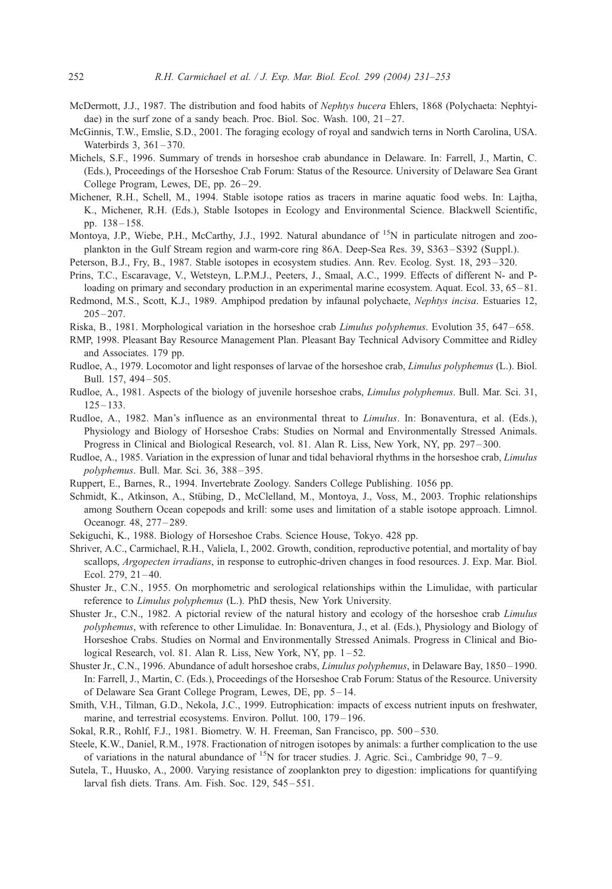- <span id="page-21-0"></span>McDermott, J.J., 1987. The distribution and food habits of Nephtys bucera Ehlers, 1868 (Polychaeta: Nephtyidae) in the surf zone of a sandy beach. Proc. Biol. Soc. Wash.  $100$ ,  $21-27$ .
- McGinnis, T.W., Emslie, S.D., 2001. The foraging ecology of royal and sandwich terns in North Carolina, USA. Waterbirds 3, 361-370.
- Michels, S.F., 1996. Summary of trends in horseshoe crab abundance in Delaware. In: Farrell, J., Martin, C. (Eds.), Proceedings of the Horseshoe Crab Forum: Status of the Resource. University of Delaware Sea Grant College Program, Lewes, DE, pp. 26–29.
- Michener, R.H., Schell, M., 1994. Stable isotope ratios as tracers in marine aquatic food webs. In: Lajtha, K., Michener, R.H. (Eds.), Stable Isotopes in Ecology and Environmental Science. Blackwell Scientific, pp. 138 – 158.
- Montoya, J.P., Wiebe, P.H., McCarthy, J.J., 1992. Natural abundance of  $15N$  in particulate nitrogen and zooplankton in the Gulf Stream region and warm-core ring 86A. Deep-Sea Res. 39, S363 – S392 (Suppl.).
- Peterson, B.J., Fry, B., 1987. Stable isotopes in ecosystem studies. Ann. Rev. Ecolog. Syst. 18, 293 320.
- Prins, T.C., Escaravage, V., Wetsteyn, L.P.M.J., Peeters, J., Smaal, A.C., 1999. Effects of different N- and Ploading on primary and secondary production in an experimental marine ecosystem. Aquat. Ecol. 33, 65–81.
- Redmond, M.S., Scott, K.J., 1989. Amphipod predation by infaunal polychaete, Nephtys incisa. Estuaries 12,  $205 - 207$ .
- Riska, B., 1981. Morphological variation in the horseshoe crab *Limulus polyphemus*. Evolution 35, 647–658.
- RMP, 1998. Pleasant Bay Resource Management Plan. Pleasant Bay Technical Advisory Committee and Ridley and Associates. 179 pp.
- Rudloe, A., 1979. Locomotor and light responses of larvae of the horseshoe crab, Limulus polyphemus (L.). Biol. Bull. 157, 494 – 505.
- Rudloe, A., 1981. Aspects of the biology of juvenile horseshoe crabs, Limulus polyphemus. Bull. Mar. Sci. 31,  $125 - 133$ .
- Rudloe, A., 1982. Man's influence as an environmental threat to *Limulus*. In: Bonaventura, et al. (Eds.), Physiology and Biology of Horseshoe Crabs: Studies on Normal and Environmentally Stressed Animals. Progress in Clinical and Biological Research, vol. 81. Alan R. Liss, New York, NY, pp. 297 – 300.
- Rudloe, A., 1985. Variation in the expression of lunar and tidal behavioral rhythms in the horseshoe crab, Limulus polyphemus. Bull. Mar. Sci. 36, 388-395.
- Ruppert, E., Barnes, R., 1994. Invertebrate Zoology. Sanders College Publishing. 1056 pp.
- Schmidt, K., Atkinson, A., Stübing, D., McClelland, M., Montoya, J., Voss, M., 2003. Trophic relationships among Southern Ocean copepods and krill: some uses and limitation of a stable isotope approach. Limnol. Oceanogr. 48, 277 – 289.
- Sekiguchi, K., 1988. Biology of Horseshoe Crabs. Science House, Tokyo. 428 pp.
- Shriver, A.C., Carmichael, R.H., Valiela, I., 2002. Growth, condition, reproductive potential, and mortality of bay scallops, Argopecten irradians, in response to eutrophic-driven changes in food resources. J. Exp. Mar. Biol. Ecol.  $279, 21 - 40.$
- Shuster Jr., C.N., 1955. On morphometric and serological relationships within the Limulidae, with particular reference to Limulus polyphemus (L.). PhD thesis, New York University.
- Shuster Jr., C.N., 1982. A pictorial review of the natural history and ecology of the horseshoe crab Limulus polyphemus, with reference to other Limulidae. In: Bonaventura, J., et al. (Eds.), Physiology and Biology of Horseshoe Crabs. Studies on Normal and Environmentally Stressed Animals. Progress in Clinical and Biological Research, vol. 81. Alan R. Liss, New York, NY, pp. 1–52.
- Shuster Jr., C.N., 1996. Abundance of adult horseshoe crabs, Limulus polyphemus, in Delaware Bay, 1850 1990. In: Farrell, J., Martin, C. (Eds.), Proceedings of the Horseshoe Crab Forum: Status of the Resource. University of Delaware Sea Grant College Program, Lewes, DE, pp. 5 – 14.
- Smith, V.H., Tilman, G.D., Nekola, J.C., 1999. Eutrophication: impacts of excess nutrient inputs on freshwater, marine, and terrestrial ecosystems. Environ. Pollut. 100, 179-196.
- Sokal, R.R., Rohlf, F.J., 1981. Biometry. W. H. Freeman, San Francisco, pp. 500-530.
- Steele, K.W., Daniel, R.M., 1978. Fractionation of nitrogen isotopes by animals: a further complication to the use of variations in the natural abundance of  $^{15}N$  for tracer studies. J. Agric. Sci., Cambridge 90, 7–9.
- Sutela, T., Huusko, A., 2000. Varying resistance of zooplankton prey to digestion: implications for quantifying larval fish diets. Trans. Am. Fish. Soc. 129, 545 – 551.